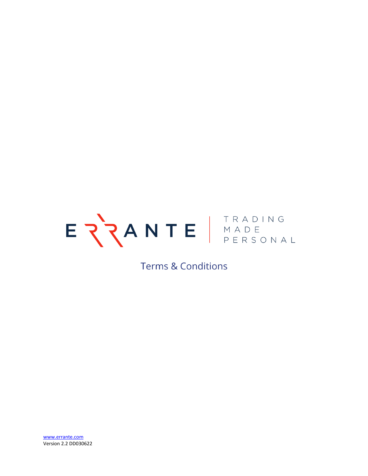

# **Terms & Conditions**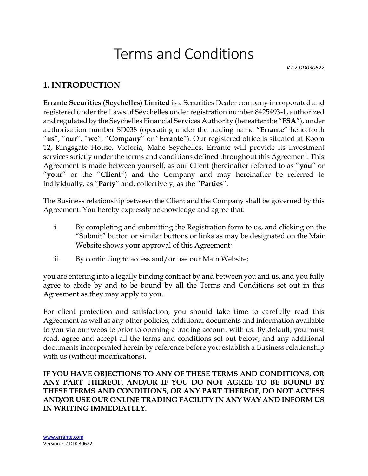# Terms and Conditions

*V2.2 DD030622*

# **1. INTRODUCTION**

**Errante Securities (Seychelles) Limited** is a Securities Dealer company incorporated and registered under the Laws of Seychelles under registration number 8425493-1, authorized and regulated by the Seychelles Financial Services Authority (hereafter the "**FSA"**), under authorization number SD038 (operating under the trading name "**Errante**" henceforth "**us**", "**our**", "**we**", "**Company**" or "**Errante**"). Our registered office is situated at Room 12, Kingsgate House, Victoria, Mahe Seychelles. Errante will provide its investment services strictly under the terms and conditions defined throughout this Agreement. This Agreement is made between yourself, as our Client (hereinafter referred to as "**you**" or "**your**" or the "**Client**") and the Company and may hereinafter be referred to individually, as "**Party**" and, collectively, as the "**Parties**".

The Business relationship between the Client and the Company shall be governed by this Agreement. You hereby expressly acknowledge and agree that:

- i. By completing and submitting the Registration form to us, and clicking on the "Submit" button or similar buttons or links as may be designated on the Main Website shows your approval of this Agreement;
- ii. By continuing to access and/or use our Main Website;

you are entering into a legally binding contract by and between you and us, and you fully agree to abide by and to be bound by all the Terms and Conditions set out in this Agreement as they may apply to you.

For client protection and satisfaction, you should take time to carefully read this Agreement as well as any other policies, additional documents and information available to you via our website prior to opening a trading account with us. By default, you must read, agree and accept all the terms and conditions set out below, and any additional documents incorporated herein by reference before you establish a Business relationship with us (without modifications).

**IF YOU HAVE OBJECTIONS TO ANY OF THESE TERMS AND CONDITIONS, OR ANY PART THEREOF, AND/OR IF YOU DO NOT AGREE TO BE BOUND BY THESE TERMS AND CONDITIONS, OR ANY PART THEREOF, DO NOT ACCESS AND/OR USE OUR ONLINE TRADING FACILITY IN ANY WAY AND INFORM US IN WRITING IMMEDIATELY.**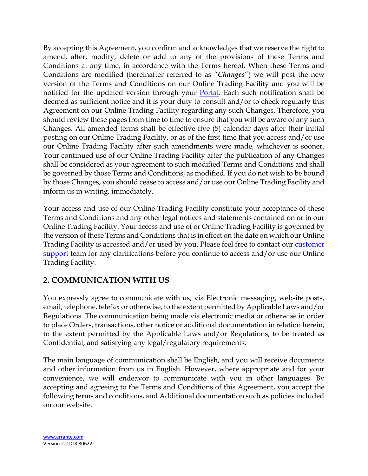By accepting this Agreement, you confirm and acknowledges that we reserve the right to amend, alter, modify, delete or add to any of the provisions of these Terms and Conditions at any time, in accordance with the Terms hereof. When these Terms and Conditions are modified (hereinafter referred to as "*Changes*") we will post the new version of the Terms and Conditions on our Online Trading Facility and you will be notified for the updated version through your [Portal.](https://myportal.errante.com/profile/agreements) Each such notification shall be deemed as sufficient notice and it is your duty to consult and/or to check regularly this Agreement on our Online Trading Facility regarding any such Changes. Therefore, you should review these pages from time to time to ensure that you will be aware of any such Changes. All amended terms shall be effective five (5) calendar days after their initial posting on our Online Trading Facility, or as of the first time that you access and/or use our Online Trading Facility after such amendments were made, whichever is sooner. Your continued use of our Online Trading Facility after the publication of any Changes shall be considered as your agreement to such modified Terms and Conditions and shall be governed by those Terms and Conditions, as modified. If you do not wish to be bound by those Changes, you should cease to access and/or use our Online Trading Facility and inform us in writing, immediately.

Your access and use of our Online Trading Facility constitute your acceptance of these Terms and Conditions and any other legal notices and statements contained on or in our Online Trading Facility. Your access and use of or Online Trading Facility is governed by the version of these Terms and Conditions that is in effect on the date on which our Online Trading Facility is accessed and/or used by you. Please feel free to contact our customer [support](mailto:support@errante.com) team for any clarifications before you continue to access and/or use our Online Trading Facility.

# **2. COMMUNICATION WITH US**

You expressly agree to communicate with us, via Electronic messaging, website posts, email, telephone, telefax or otherwise, to the extent permitted by Applicable Laws and/or Regulations. The communication being made via electronic media or otherwise in order to place Orders, transactions, other notice or additional documentation in relation herein, to the extent permitted by the Applicable Laws and/or Regulations, to be treated as Confidential, and satisfying any legal/regulatory requirements.

The main language of communication shall be English, and you will receive documents and other information from us in English. However, where appropriate and for your convenience, we will endeavor to communicate with you in other languages. By accepting and agreeing to the Terms and Conditions of this Agreement, you accept the following terms and conditions, and Additional documentation such as policies included on our website*.*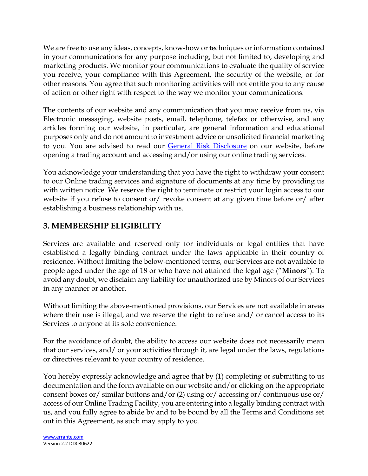We are free to use any ideas, concepts, know-how or techniques or information contained in your communications for any purpose including, but not limited to, developing and marketing products. We monitor your communications to evaluate the quality of service you receive, your compliance with this Agreement, the security of the website, or for other reasons. You agree that such monitoring activities will not entitle you to any cause of action or other right with respect to the way we monitor your communications.

The contents of our website and any communication that you may receive from us, via Electronic messaging, website posts, email, telephone, telefax or otherwise, and any articles forming our website, in particular, are general information and educational purposes only and do not amount to investment advice or unsolicited financial marketing to you. You are advised to read our [General Risk Disclosure](https://errante.com/general-risk-disclosure/) on our website, before opening a trading account and accessing and/or using our online trading services.

You acknowledge your understanding that you have the right to withdraw your consent to our Online trading services and signature of documents at any time by providing us with written notice. We reserve the right to terminate or restrict your login access to our website if you refuse to consent or/ revoke consent at any given time before or/ after establishing a business relationship with us.

# **3. MEMBERSHIP ELIGIBILITY**

Services are available and reserved only for individuals or legal entities that have established a legally binding contract under the laws applicable in their country of residence. Without limiting the below-mentioned terms, our Services are not available to people aged under the age of 18 or who have not attained the legal age ("**Minors**"). To avoid any doubt, we disclaim any liability for unauthorized use by Minors of our Services in any manner or another.

Without limiting the above-mentioned provisions, our Services are not available in areas where their use is illegal, and we reserve the right to refuse and/ or cancel access to its Services to anyone at its sole convenience.

For the avoidance of doubt, the ability to access our website does not necessarily mean that our services, and/ or your activities through it, are legal under the laws, regulations or directives relevant to your country of residence.

You hereby expressly acknowledge and agree that by (1) completing or submitting to us documentation and the form available on our website and/or clicking on the appropriate consent boxes or/ similar buttons and/or (2) using or/ accessing or/ continuous use or/ access of our Online Trading Facility, you are entering into a legally binding contract with us, and you fully agree to abide by and to be bound by all the Terms and Conditions set out in this Agreement, as such may apply to you.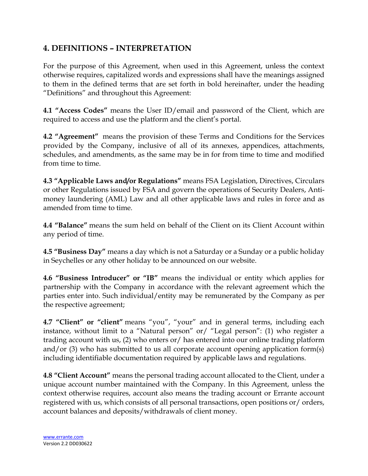# **4. DEFINITIONS – INTERPRETATION**

For the purpose of this Agreement, when used in this Agreement, unless the context otherwise requires, capitalized words and expressions shall have the meanings assigned to them in the defined terms that are set forth in bold hereinafter, under the heading "Definitions" and throughout this Agreement:

**4.1 "Access Codes"** means the User ID/email and password of the Client, which are required to access and use the platform and the client's portal.

**4.2 "Agreement"** means the provision of these Terms and Conditions for the Services provided by the Company, inclusive of all of its annexes, appendices, attachments, schedules, and amendments, as the same may be in for from time to time and modified from time to time.

**4.3 "Applicable Laws and/or Regulations"** means FSA Legislation, Directives, Circulars or other Regulations issued by FSA and govern the operations of Security Dealers, Antimoney laundering (AML) Law and all other applicable laws and rules in force and as amended from time to time.

**4.4 "Balance"** means the sum held on behalf of the Client on its Client Account within any period of time.

**4.5 "Business Day"** means a day which is not a Saturday or a Sunday or a public holiday in Seychelles or any other holiday to be announced on our website.

**4.6 "Business Introducer" or "IB"** means the individual or entity which applies for partnership with the Company in accordance with the relevant agreement which the parties enter into. Such individual/entity may be remunerated by the Company as per the respective agreement;

**4.7 "Client" or "client"** means "you", "your" and in general terms, including each instance, without limit to a "Natural person" or/ "Legal person": (1) who register a trading account with us, (2) who enters or/ has entered into our online trading platform and/or (3) who has submitted to us all corporate account opening application form(s) including identifiable documentation required by applicable laws and regulations.

**4.8 "Client Account"** means the personal trading account allocated to the Client, under a unique account number maintained with the Company. In this Agreement, unless the context otherwise requires, account also means the trading account or Errante account registered with us, which consists of all personal transactions, open positions or/ orders, account balances and deposits/withdrawals of client money.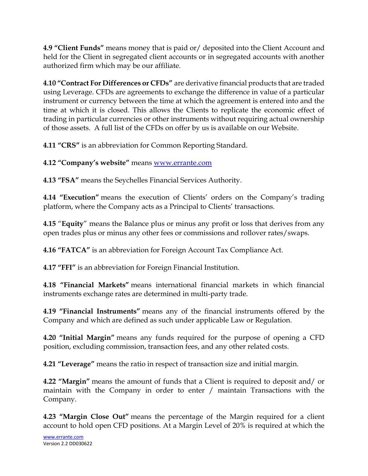**4.9 "Client Funds"** means money that is paid or/ deposited into the Client Account and held for the Client in segregated client accounts or in segregated accounts with another authorized firm which may be our affiliate.

**4.10 "Contract For Differences or CFDs"** are derivative financial products that are traded using Leverage. CFDs are agreements to exchange the difference in value of a particular instrument or currency between the time at which the agreement is entered into and the time at which it is closed. This allows the Clients to replicate the economic effect of trading in particular currencies or other instruments without requiring actual ownership of those assets. A full list of the CFDs on offer by us is available on our Website.

**4.11 "CRS"** is an abbreviation for Common Reporting Standard.

**4.12 "Company's website"** means [www.errante.com](http://www.errante.com/)

**4.13 "FSA"** means the Seychelles Financial Services Authority.

**4.14 "Execution"** means the execution of Clients' orders on the Company's trading platform, where the Company acts as a Principal to Clients' transactions.

**4.15** "**Equity**" means the Balance plus or minus any profit or loss that derives from any open trades plus or minus any other fees or commissions and rollover rates/swaps.

**4.16 "FATCA"** is an abbreviation for Foreign Account Tax Compliance Act.

**4.17 "FFI"** is an abbreviation for Foreign Financial Institution.

**4.18 "Financial Markets"** means international financial markets in which financial instruments exchange rates are determined in multi-party trade.

**4.19 "Financial Instruments"** means any of the financial instruments offered by the Company and which are defined as such under applicable Law or Regulation.

**4.20 "Initial Margin"** means any funds required for the purpose of opening a CFD position, excluding commission, transaction fees, and any other related costs.

**4.21 "Leverage"** means the ratio in respect of transaction size and initial margin.

**4.22 "Margin"** means the amount of funds that a Client is required to deposit and/ or maintain with the Company in order to enter / maintain Transactions with the Company.

**4.23 "Margin Close Out"** means the percentage of the Margin required for a client account to hold open CFD positions. At a Margin Level of 20% is required at which the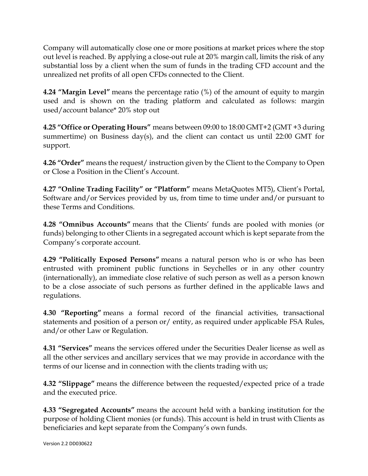Company will automatically close one or more positions at market prices where the stop out level is reached. By applying a close-out rule at 20% margin call, limits the risk of any substantial loss by a client when the sum of funds in the trading CFD account and the unrealized net profits of all open CFDs connected to the Client.

**4.24 "Margin Level"** means the percentage ratio (%) of the amount of equity to margin used and is shown on the trading platform and calculated as follows: margin used/account balance\* 20% stop out

**4.25 "Office or Operating Hours"** means between 09:00 to 18:00 GMT+2 (GMT +3 during summertime) on Business day(s), and the client can contact us until 22:00 GMT for support.

**4.26 "Order"** means the request/ instruction given by the Client to the Company to Open or Close a Position in the Client's Account.

**4.27 "Online Trading Facility" or "Platform"** means MetaQuotes MT5), Client's Portal, Software and/or Services provided by us, from time to time under and/or pursuant to these Terms and Conditions.

**4.28 "Omnibus Accounts"** means that the Clients' funds are pooled with monies (or funds) belonging to other Clients in a segregated account which is kept separate from the Company's corporate account.

**4.29 "Politically Exposed Persons"** means a natural person who is or who has been entrusted with prominent public functions in Seychelles or in any other country (internationally), an immediate close relative of such person as well as a person known to be a close associate of such persons as further defined in the applicable laws and regulations.

**4.30 "Reporting"** means a formal record of the financial activities, transactional statements and position of a person or/ entity, as required under applicable FSA Rules, and/or other Law or Regulation.

**4.31 "Services"** means the services offered under the Securities Dealer license as well as all the other services and ancillary services that we may provide in accordance with the terms of our license and in connection with the clients trading with us;

**4.32 "Slippage"** means the difference between the requested/expected price of a trade and the executed price.

**4.33 "Segregated Accounts"** means the account held with a banking institution for the purpose of holding Client monies (or funds). This account is held in trust with Clients as beneficiaries and kept separate from the Company's own funds.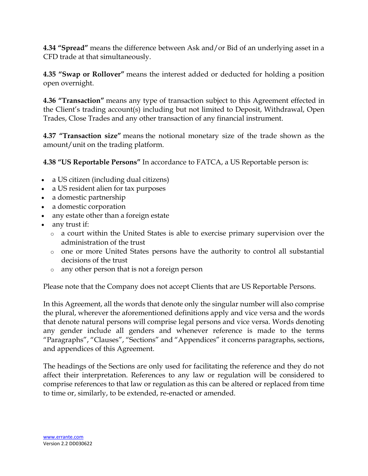**4.34 "Spread"** means the difference between Ask and/or Bid of an underlying asset in a CFD trade at that simultaneously.

**4.35 "Swap or Rollover"** means the interest added or deducted for holding a position open overnight.

**4.36 "Transaction"** means any type of transaction subject to this Agreement effected in the Client's trading account(s) including but not limited to Deposit, Withdrawal, Open Trades, Close Trades and any other transaction of any financial instrument.

**4.37 "Transaction size"** means the notional monetary size of the trade shown as the amount/unit on the trading platform.

**4.38 "US Reportable Persons"** In accordance to FATCA, a US Reportable person is:

- a US citizen (including dual citizens)
- a US resident alien for tax purposes
- a domestic partnership
- a domestic corporation
- any estate other than a foreign estate
- any trust if:
	- o a court within the United States is able to exercise primary supervision over the administration of the trust
	- o one or more United States persons have the authority to control all substantial decisions of the trust
	- o any other person that is not a foreign person

Please note that the Company does not accept Clients that are US Reportable Persons.

In this Agreement, all the words that denote only the singular number will also comprise the plural, wherever the aforementioned definitions apply and vice versa and the words that denote natural persons will comprise legal persons and vice versa. Words denoting any gender include all genders and whenever reference is made to the terms "Paragraphs", "Clauses", "Sections" and "Appendices" it concerns paragraphs, sections, and appendices of this Agreement.

The headings of the Sections are only used for facilitating the reference and they do not affect their interpretation. References to any law or regulation will be considered to comprise references to that law or regulation as this can be altered or replaced from time to time or, similarly, to be extended, re-enacted or amended.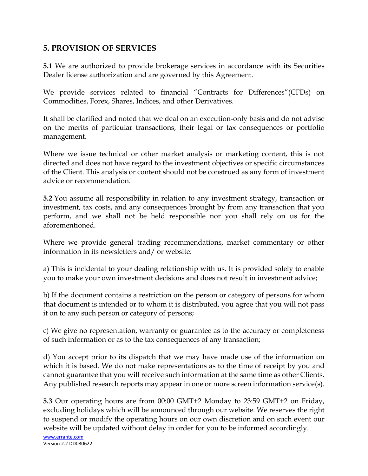## **5. PROVISION OF SERVICES**

**5.1** We are authorized to provide brokerage services in accordance with its Securities Dealer license authorization and are governed by this Agreement.

We provide services related to financial "Contracts for Differences"(CFDs) on Commodities, Forex, Shares, Indices, and other Derivatives.

It shall be clarified and noted that we deal on an execution-only basis and do not advise on the merits of particular transactions, their legal or tax consequences or portfolio management.

Where we issue technical or other market analysis or marketing content, this is not directed and does not have regard to the investment objectives or specific circumstances of the Client. This analysis or content should not be construed as any form of investment advice or recommendation.

**5.2** You assume all responsibility in relation to any investment strategy, transaction or investment, tax costs, and any consequences brought by from any transaction that you perform, and we shall not be held responsible nor you shall rely on us for the aforementioned.

Where we provide general trading recommendations, market commentary or other information in its newsletters and/ or website:

a) This is incidental to your dealing relationship with us. It is provided solely to enable you to make your own investment decisions and does not result in investment advice;

b) If the document contains a restriction on the person or category of persons for whom that document is intended or to whom it is distributed, you agree that you will not pass it on to any such person or category of persons;

c) We give no representation, warranty or guarantee as to the accuracy or completeness of such information or as to the tax consequences of any transaction;

d) You accept prior to its dispatch that we may have made use of the information on which it is based. We do not make representations as to the time of receipt by you and cannot guarantee that you will receive such information at the same time as other Clients. Any published research reports may appear in one or more screen information service(s).

**5.3** Our operating hours are from 00:00 GMT+2 Monday to 23:59 GMT+2 on Friday, excluding holidays which will be announced through our website. We reserves the right to suspend or modify the operating hours on our own discretion and on such event our website will be updated without delay in order for you to be informed accordingly.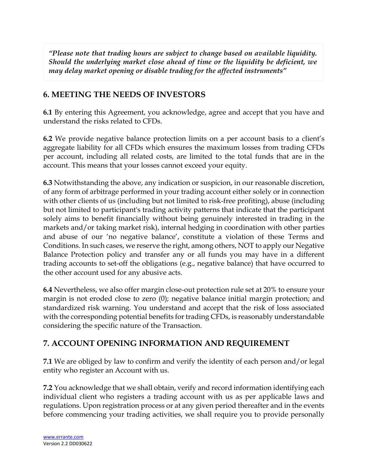*"Please note that trading hours are subject to change based on available liquidity. Should the underlying market close ahead of time or the liquidity be deficient, we may delay market opening or disable trading for the affected instruments"*

# **6. MEETING THE NEEDS OF INVESTORS**

**6.1** By entering this Agreement, you acknowledge, agree and accept that you have and understand the risks related to CFDs.

**6.2** We provide negative balance protection limits on a per account basis to a client's aggregate liability for all CFDs which ensures the maximum losses from trading CFDs per account, including all related costs, are limited to the total funds that are in the account. This means that your losses cannot exceed your equity.

**6.3** Notwithstanding the above, any indication or suspicion, in our reasonable discretion, of any form of arbitrage performed in your trading account either solely or in connection with other clients of us (including but not limited to risk-free profiting), abuse (including but not limited to participant's trading activity patterns that indicate that the participant solely aims to benefit financially without being genuinely interested in trading in the markets and/or taking market risk), internal hedging in coordination with other parties and abuse of our 'no negative balance', constitute a violation of these Terms and Conditions. In such cases, we reserve the right, among others, NOT to apply our Negative Balance Protection policy and transfer any or all funds you may have in a different trading accounts to set-off the obligations (e.g., negative balance) that have occurred to the other account used for any abusive acts.

**6.4** Nevertheless, we also offer margin close-out protection rule set at 20% to ensure your margin is not eroded close to zero (0); negative balance initial margin protection; and standardized risk warning. You understand and accept that the risk of loss associated with the corresponding potential benefits for trading CFDs, is reasonably understandable considering the specific nature of the Transaction.

# **7. ACCOUNT OPENING INFORMATION AND REQUIREMENT**

**7.1** We are obliged by law to confirm and verify the identity of each person and/or legal entity who register an Account with us.

**7.2** You acknowledge that we shall obtain, verify and record information identifying each individual client who registers a trading account with us as per applicable laws and regulations. Upon registration process or at any given period thereafter and in the events before commencing your trading activities, we shall require you to provide personally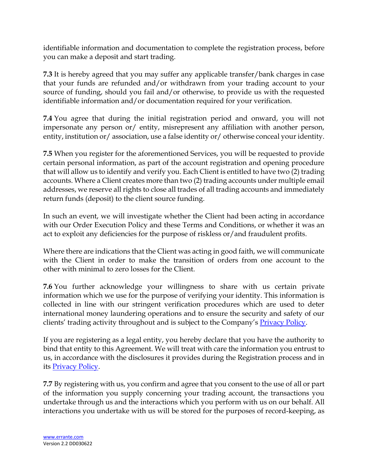identifiable information and documentation to complete the registration process, before you can make a deposit and start trading.

**7.3** It is hereby agreed that you may suffer any applicable transfer/bank charges in case that your funds are refunded and/or withdrawn from your trading account to your source of funding, should you fail and/or otherwise, to provide us with the requested identifiable information and/or documentation required for your verification.

**7.4** You agree that during the initial registration period and onward, you will not impersonate any person or/ entity, misrepresent any affiliation with another person, entity, institution or/association, use a false identity or/otherwise conceal your identity.

**7.5** When you register for the aforementioned Services, you will be requested to provide certain personal information, as part of the account registration and opening procedure that will allow us to identify and verify you. Each Client is entitled to have two (2) trading accounts. Where a Client creates more than two (2) trading accounts under multiple email addresses, we reserve all rights to close all trades of all trading accounts and immediately return funds (deposit) to the client source funding.

In such an event, we will investigate whether the Client had been acting in accordance with our Order Execution Policy and these Terms and Conditions, or whether it was an act to exploit any deficiencies for the purpose of riskless or/and fraudulent profits.

Where there are indications that the Client was acting in good faith, we will communicate with the Client in order to make the transition of orders from one account to the other with minimal to zero losses for the Client.

**7.6** You further acknowledge your willingness to share with us certain private information which we use for the purpose of verifying your identity. This information is collected in line with our stringent verification procedures which are used to deter international money laundering operations and to ensure the security and safety of our clients' trading activity throughout and is subject to the Company's **Privacy Policy**.

If you are registering as a legal entity, you hereby declare that you have the authority to bind that entity to this Agreement. We will treat with care the information you entrust to us, in accordance with the disclosures it provides during the Registration process and in its [Privacy Policy.](https://errante.com/privacy-policy/)

**7.7** By registering with us, you confirm and agree that you consent to the use of all or part of the information you supply concerning your trading account, the transactions you undertake through us and the interactions which you perform with us on our behalf. All interactions you undertake with us will be stored for the purposes of record-keeping, as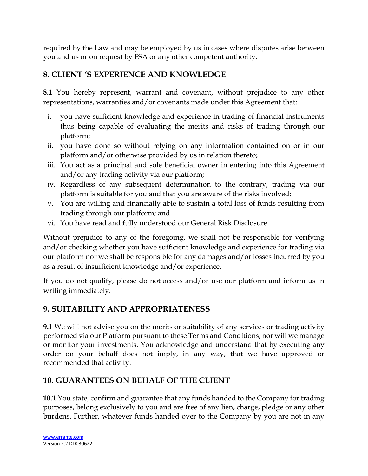required by the Law and may be employed by us in cases where disputes arise between you and us or on request by FSA or any other competent authority.

# **8. CLIENT 'S EXPERIENCE AND KNOWLEDGE**

**8.1** You hereby represent, warrant and covenant, without prejudice to any other representations, warranties and/or covenants made under this Agreement that:

- i. you have sufficient knowledge and experience in trading of financial instruments thus being capable of evaluating the merits and risks of trading through our platform;
- ii. you have done so without relying on any information contained on or in our platform and/or otherwise provided by us in relation thereto;
- iii. You act as a principal and sole beneficial owner in entering into this Agreement and/or any trading activity via our platform;
- iv. Regardless of any subsequent determination to the contrary, trading via our platform is suitable for you and that you are aware of the risks involved;
- v. You are willing and financially able to sustain a total loss of funds resulting from trading through our platform; and
- vi. You have read and fully understood our General Risk Disclosure.

Without prejudice to any of the foregoing, we shall not be responsible for verifying and/or checking whether you have sufficient knowledge and experience for trading via our platform nor we shall be responsible for any damages and/or losses incurred by you as a result of insufficient knowledge and/or experience.

If you do not qualify, please do not access and/or use our platform and inform us in writing immediately.

# **9. SUITABILITY AND APPROPRIATENESS**

**9.1** We will not advise you on the merits or suitability of any services or trading activity performed via our Platform pursuant to these Terms and Conditions, nor will we manage or monitor your investments. You acknowledge and understand that by executing any order on your behalf does not imply, in any way, that we have approved or recommended that activity.

# **10. GUARANTEES ON BEHALF OF THE CLIENT**

**10.1** You state, confirm and guarantee that any funds handed to the Company for trading purposes, belong exclusively to you and are free of any lien, charge, pledge or any other burdens. Further, whatever funds handed over to the Company by you are not in any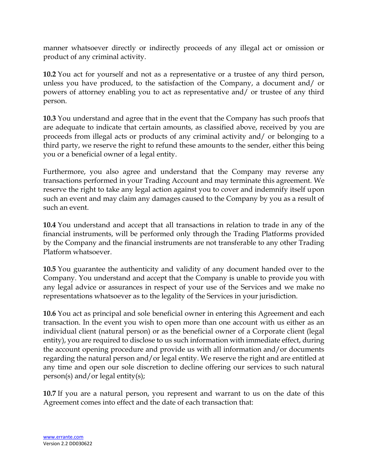manner whatsoever directly or indirectly proceeds of any illegal act or omission or product of any criminal activity.

**10.2** You act for yourself and not as a representative or a trustee of any third person, unless you have produced, to the satisfaction of the Company, a document and/ or powers of attorney enabling you to act as representative and/ or trustee of any third person.

**10.3** You understand and agree that in the event that the Company has such proofs that are adequate to indicate that certain amounts, as classified above, received by you are proceeds from illegal acts or products of any criminal activity and/ or belonging to a third party, we reserve the right to refund these amounts to the sender, either this being you or a beneficial owner of a legal entity.

Furthermore, you also agree and understand that the Company may reverse any transactions performed in your Trading Account and may terminate this agreement. We reserve the right to take any legal action against you to cover and indemnify itself upon such an event and may claim any damages caused to the Company by you as a result of such an event.

**10.4** You understand and accept that all transactions in relation to trade in any of the financial instruments, will be performed only through the Trading Platforms provided by the Company and the financial instruments are not transferable to any other Trading Platform whatsoever.

**10.5** You guarantee the authenticity and validity of any document handed over to the Company. You understand and accept that the Company is unable to provide you with any legal advice or assurances in respect of your use of the Services and we make no representations whatsoever as to the legality of the Services in your jurisdiction.

**10.6** You act as principal and sole beneficial owner in entering this Agreement and each transaction. In the event you wish to open more than one account with us either as an individual client (natural person) or as the beneficial owner of a Corporate client (legal entity), you are required to disclose to us such information with immediate effect, during the account opening procedure and provide us with all information and/or documents regarding the natural person and/or legal entity. We reserve the right and are entitled at any time and open our sole discretion to decline offering our services to such natural person(s) and/or legal entity(s);

**10.7** If you are a natural person, you represent and warrant to us on the date of this Agreement comes into effect and the date of each transaction that: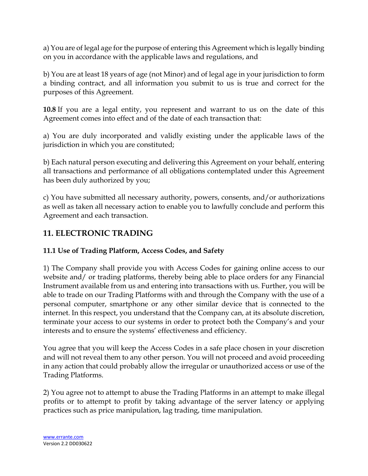a) You are of legal age for the purpose of entering this Agreement which is legally binding on you in accordance with the applicable laws and regulations, and

b) You are at least 18 years of age (not Minor) and of legal age in your jurisdiction to form a binding contract, and all information you submit to us is true and correct for the purposes of this Agreement.

**10.8** If you are a legal entity, you represent and warrant to us on the date of this Agreement comes into effect and of the date of each transaction that:

a) You are duly incorporated and validly existing under the applicable laws of the jurisdiction in which you are constituted;

b) Each natural person executing and delivering this Agreement on your behalf, entering all transactions and performance of all obligations contemplated under this Agreement has been duly authorized by you;

c) You have submitted all necessary authority, powers, consents, and/or authorizations as well as taken all necessary action to enable you to lawfully conclude and perform this Agreement and each transaction.

# **11. ELECTRONIC TRADING**

## **11.1 Use of Trading Platform, Access Codes, and Safety**

1) The Company shall provide you with Access Codes for gaining online access to our website and/ or trading platforms, thereby being able to place orders for any Financial Instrument available from us and entering into transactions with us. Further, you will be able to trade on our Trading Platforms with and through the Company with the use of a personal computer, smartphone or any other similar device that is connected to the internet. In this respect, you understand that the Company can, at its absolute discretion, terminate your access to our systems in order to protect both the Company's and your interests and to ensure the systems' effectiveness and efficiency.

You agree that you will keep the Access Codes in a safe place chosen in your discretion and will not reveal them to any other person. You will not proceed and avoid proceeding in any action that could probably allow the irregular or unauthorized access or use of the Trading Platforms.

2) You agree not to attempt to abuse the Trading Platforms in an attempt to make illegal profits or to attempt to profit by taking advantage of the server latency or applying practices such as price manipulation, lag trading, time manipulation.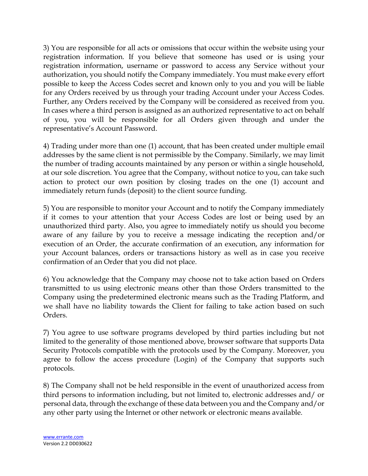3) You are responsible for all acts or omissions that occur within the website using your registration information. If you believe that someone has used or is using your registration information, username or password to access any Service without your authorization, you should notify the Company immediately. You must make every effort possible to keep the Access Codes secret and known only to you and you will be liable for any Orders received by us through your trading Account under your Access Codes. Further, any Orders received by the Company will be considered as received from you. In cases where a third person is assigned as an authorized representative to act on behalf of you, you will be responsible for all Orders given through and under the representative's Account Password.

4) Trading under more than one (1) account, that has been created under multiple email addresses by the same client is not permissible by the Company. Similarly, we may limit the number of trading accounts maintained by any person or within a single household, at our sole discretion. You agree that the Company, without notice to you, can take such action to protect our own position by closing trades on the one (1) account and immediately return funds (deposit) to the client source funding.

5) You are responsible to monitor your Account and to notify the Company immediately if it comes to your attention that your Access Codes are lost or being used by an unauthorized third party. Also, you agree to immediately notify us should you become aware of any failure by you to receive a message indicating the reception and/or execution of an Order, the accurate confirmation of an execution, any information for your Account balances, orders or transactions history as well as in case you receive confirmation of an Order that you did not place.

6) You acknowledge that the Company may choose not to take action based on Orders transmitted to us using electronic means other than those Orders transmitted to the Company using the predetermined electronic means such as the Trading Platform, and we shall have no liability towards the Client for failing to take action based on such Orders.

7) You agree to use software programs developed by third parties including but not limited to the generality of those mentioned above, browser software that supports Data Security Protocols compatible with the protocols used by the Company. Moreover, you agree to follow the access procedure (Login) of the Company that supports such protocols.

8) The Company shall not be held responsible in the event of unauthorized access from third persons to information including, but not limited to, electronic addresses and/ or personal data, through the exchange of these data between you and the Company and/or any other party using the Internet or other network or electronic means available.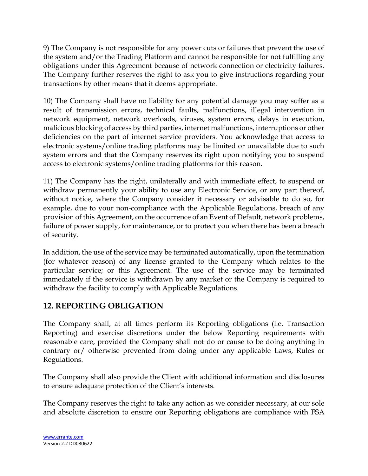9) The Company is not responsible for any power cuts or failures that prevent the use of the system and/or the Trading Platform and cannot be responsible for not fulfilling any obligations under this Agreement because of network connection or electricity failures. The Company further reserves the right to ask you to give instructions regarding your transactions by other means that it deems appropriate.

10) The Company shall have no liability for any potential damage you may suffer as a result of transmission errors, technical faults, malfunctions, illegal intervention in network equipment, network overloads, viruses, system errors, delays in execution, malicious blocking of access by third parties, internet malfunctions, interruptions or other deficiencies on the part of internet service providers. You acknowledge that access to electronic systems/online trading platforms may be limited or unavailable due to such system errors and that the Company reserves its right upon notifying you to suspend access to electronic systems/online trading platforms for this reason.

11) The Company has the right, unilaterally and with immediate effect, to suspend or withdraw permanently your ability to use any Electronic Service, or any part thereof, without notice, where the Company consider it necessary or advisable to do so, for example, due to your non-compliance with the Applicable Regulations, breach of any provision of this Agreement, on the occurrence of an Event of Default, network problems, failure of power supply, for maintenance, or to protect you when there has been a breach of security.

In addition, the use of the service may be terminated automatically, upon the termination (for whatever reason) of any license granted to the Company which relates to the particular service; or this Agreement. The use of the service may be terminated immediately if the service is withdrawn by any market or the Company is required to withdraw the facility to comply with Applicable Regulations.

# **12. REPORTING OBLIGATION**

The Company shall, at all times perform its Reporting obligations (i.e. Transaction Reporting) and exercise discretions under the below Reporting requirements with reasonable care, provided the Company shall not do or cause to be doing anything in contrary or/ otherwise prevented from doing under any applicable Laws, Rules or Regulations.

The Company shall also provide the Client with additional information and disclosures to ensure adequate protection of the Client's interests.

The Company reserves the right to take any action as we consider necessary, at our sole and absolute discretion to ensure our Reporting obligations are compliance with FSA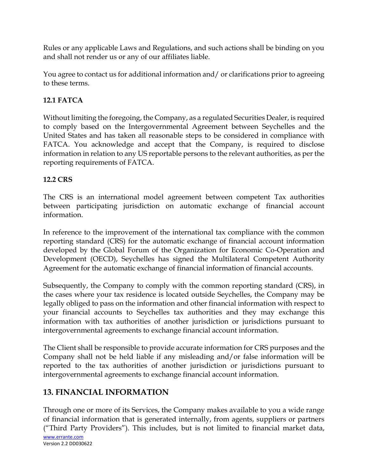Rules or any applicable Laws and Regulations, and such actions shall be binding on you and shall not render us or any of our affiliates liable.

You agree to contact us for additional information and/ or clarifications prior to agreeing to these terms.

## **12.1 FATCA**

Without limiting the foregoing, the Company, as a regulated Securities Dealer, is required to comply based on the Intergovernmental Agreement between Seychelles and the United States and has taken all reasonable steps to be considered in compliance with FATCA. You acknowledge and accept that the Company, is required to disclose information in relation to any US reportable persons to the relevant authorities, as per the reporting requirements of FATCA.

## **12.2 CRS**

The CRS is an international model agreement between competent Tax authorities between participating jurisdiction on automatic exchange of financial account information.

In reference to the improvement of the international tax compliance with the common reporting standard (CRS) for the automatic exchange of financial account information developed by the Global Forum of the Organization for Economic Co-Operation and Development (OECD), Seychelles has signed the Multilateral Competent Authority Agreement for the automatic exchange of financial information of financial accounts.

Subsequently, the Company to comply with the common reporting standard (CRS), in the cases where your tax residence is located outside Seychelles, the Company may be legally obliged to pass on the information and other financial information with respect to your financial accounts to Seychelles tax authorities and they may exchange this information with tax authorities of another jurisdiction or jurisdictions pursuant to intergovernmental agreements to exchange financial account information.

The Client shall be responsible to provide accurate information for CRS purposes and the Company shall not be held liable if any misleading and/or false information will be reported to the tax authorities of another jurisdiction or jurisdictions pursuant to intergovernmental agreements to exchange financial account information.

# **13. FINANCIAL INFORMATION**

[www.errante.com](http://www.errante.com/) Version 2.2 DD030622 Through one or more of its Services, the Company makes available to you a wide range of financial information that is generated internally, from agents, suppliers or partners ("Third Party Providers"). This includes, but is not limited to financial market data,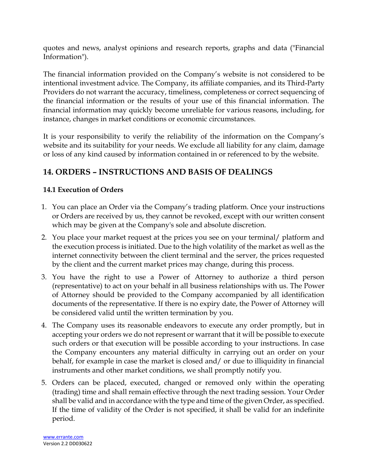quotes and news, analyst opinions and research reports, graphs and data ("Financial Information").

The financial information provided on the Company's website is not considered to be intentional investment advice. The Company, its affiliate companies, and its Third-Party Providers do not warrant the accuracy, timeliness, completeness or correct sequencing of the financial information or the results of your use of this financial information. The financial information may quickly become unreliable for various reasons, including, for instance, changes in market conditions or economic circumstances.

It is your responsibility to verify the reliability of the information on the Company's website and its suitability for your needs. We exclude all liability for any claim, damage or loss of any kind caused by information contained in or referenced to by the website.

# **14. ORDERS – INSTRUCTIONS AND BASIS OF DEALINGS**

# **14.1 Execution of Orders**

- 1. You can place an Order via the Company's trading platform. Once your instructions or Orders are received by us, they cannot be revoked, except with our written consent which may be given at the Company's sole and absolute discretion.
- 2. You place your market request at the prices you see on your terminal/ platform and the execution process is initiated. Due to the high volatility of the market as well as the internet connectivity between the client terminal and the server, the prices requested by the client and the current market prices may change, during this process.
- 3. You have the right to use a Power of Attorney to authorize a third person (representative) to act on your behalf in all business relationships with us. The Power of Attorney should be provided to the Company accompanied by all identification documents of the representative. If there is no expiry date, the Power of Attorney will be considered valid until the written termination by you.
- 4. The Company uses its reasonable endeavors to execute any order promptly, but in accepting your orders we do not represent or warrant that it will be possible to execute such orders or that execution will be possible according to your instructions. In case the Company encounters any material difficulty in carrying out an order on your behalf, for example in case the market is closed and/ or due to illiquidity in financial instruments and other market conditions, we shall promptly notify you.
- 5. Orders can be placed, executed, changed or removed only within the operating (trading) time and shall remain effective through the next trading session. Your Order shall be valid and in accordance with the type and time of the given Order, as specified. If the time of validity of the Order is not specified, it shall be valid for an indefinite period.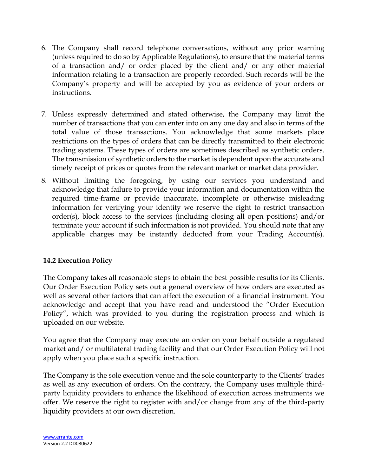- 6. The Company shall record telephone conversations, without any prior warning (unless required to do so by Applicable Regulations), to ensure that the material terms of a transaction and/ or order placed by the client and/ or any other material information relating to a transaction are properly recorded. Such records will be the Company's property and will be accepted by you as evidence of your orders or instructions.
- 7. Unless expressly determined and stated otherwise, the Company may limit the number of transactions that you can enter into on any one day and also in terms of the total value of those transactions. You acknowledge that some markets place restrictions on the types of orders that can be directly transmitted to their electronic trading systems. These types of orders are sometimes described as synthetic orders. The transmission of synthetic orders to the market is dependent upon the accurate and timely receipt of prices or quotes from the relevant market or market data provider.
- 8. Without limiting the foregoing, by using our services you understand and acknowledge that failure to provide your information and documentation within the required time-frame or provide inaccurate, incomplete or otherwise misleading information for verifying your identity we reserve the right to restrict transaction order(s), block access to the services (including closing all open positions) and/or terminate your account if such information is not provided. You should note that any applicable charges may be instantly deducted from your Trading Account(s).

#### **14.2 Execution Policy**

The Company takes all reasonable steps to obtain the best possible results for its Clients. Our Order Execution Policy sets out a general overview of how orders are executed as well as several other factors that can affect the execution of a financial instrument. You acknowledge and accept that you have read and understood the "Order Execution Policy", which was provided to you during the registration process and which is uploaded on our website.

You agree that the Company may execute an order on your behalf outside a regulated market and/ or multilateral trading facility and that our Order Execution Policy will not apply when you place such a specific instruction.

The Company is the sole execution venue and the sole counterparty to the Clients' trades as well as any execution of orders. On the contrary, the Company uses multiple thirdparty liquidity providers to enhance the likelihood of execution across instruments we offer. We reserve the right to register with and/or change from any of the third-party liquidity providers at our own discretion.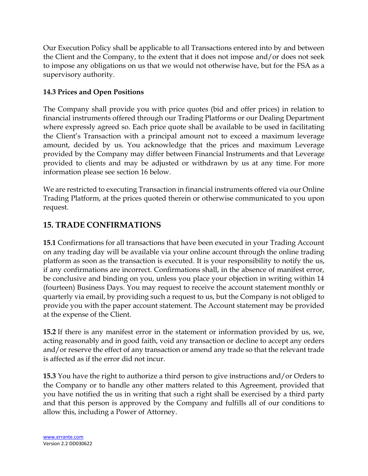Our Execution Policy shall be applicable to all Transactions entered into by and between the Client and the Company, to the extent that it does not impose and/or does not seek to impose any obligations on us that we would not otherwise have, but for the FSA as a supervisory authority.

## **14.3 Prices and Open Positions**

The Company shall provide you with price quotes (bid and offer prices) in relation to financial instruments offered through our Trading Platforms or our Dealing Department where expressly agreed so. Each price quote shall be available to be used in facilitating the Client's Transaction with a principal amount not to exceed a maximum leverage amount, decided by us. You acknowledge that the prices and maximum Leverage provided by the Company may differ between Financial Instruments and that Leverage provided to clients and may be adjusted or withdrawn by us at any time. For more information please see section 16 below.

We are restricted to executing Transaction in financial instruments offered via our Online Trading Platform, at the prices quoted therein or otherwise communicated to you upon request.

# **15. TRADE CONFIRMATIONS**

**15.1** Confirmations for all transactions that have been executed in your Trading Account on any trading day will be available via your online account through the online trading platform as soon as the transaction is executed. It is your responsibility to notify the us, if any confirmations are incorrect. Confirmations shall, in the absence of manifest error, be conclusive and binding on you, unless you place your objection in writing within 14 (fourteen) Business Days. You may request to receive the account statement monthly or quarterly via email, by providing such a request to us, but the Company is not obliged to provide you with the paper account statement. The Account statement may be provided at the expense of the Client.

**15.2** If there is any manifest error in the statement or information provided by us, we, acting reasonably and in good faith, void any transaction or decline to accept any orders and/or reserve the effect of any transaction or amend any trade so that the relevant trade is affected as if the error did not incur.

**15.3** You have the right to authorize a third person to give instructions and/or Orders to the Company or to handle any other matters related to this Agreement, provided that you have notified the us in writing that such a right shall be exercised by a third party and that this person is approved by the Company and fulfills all of our conditions to allow this, including a Power of Attorney.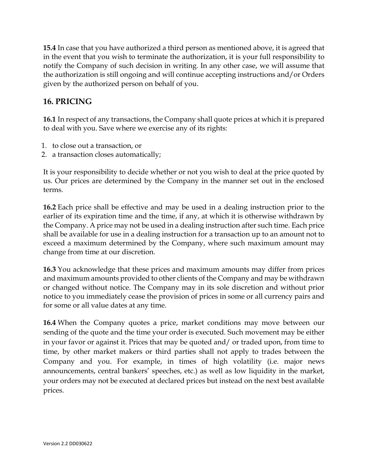**15.4** In case that you have authorized a third person as mentioned above, it is agreed that in the event that you wish to terminate the authorization, it is your full responsibility to notify the Company of such decision in writing. In any other case, we will assume that the authorization is still ongoing and will continue accepting instructions and/or Orders given by the authorized person on behalf of you.

# **16. PRICING**

**16.1** In respect of any transactions, the Company shall quote prices at which it is prepared to deal with you. Save where we exercise any of its rights:

- 1. to close out a transaction, or
- 2. a transaction closes automatically;

It is your responsibility to decide whether or not you wish to deal at the price quoted by us. Our prices are determined by the Company in the manner set out in the enclosed terms.

**16.2** Each price shall be effective and may be used in a dealing instruction prior to the earlier of its expiration time and the time, if any, at which it is otherwise withdrawn by the Company. A price may not be used in a dealing instruction after such time. Each price shall be available for use in a dealing instruction for a transaction up to an amount not to exceed a maximum determined by the Company, where such maximum amount may change from time at our discretion.

**16.3** You acknowledge that these prices and maximum amounts may differ from prices and maximum amounts provided to other clients of the Company and may be withdrawn or changed without notice. The Company may in its sole discretion and without prior notice to you immediately cease the provision of prices in some or all currency pairs and for some or all value dates at any time.

**16.4** When the Company quotes a price, market conditions may move between our sending of the quote and the time your order is executed. Such movement may be either in your favor or against it. Prices that may be quoted and/ or traded upon, from time to time, by other market makers or third parties shall not apply to trades between the Company and you. For example, in times of high volatility (i.e. major news announcements, central bankers' speeches, etc.) as well as low liquidity in the market, your orders may not be executed at declared prices but instead on the next best available prices.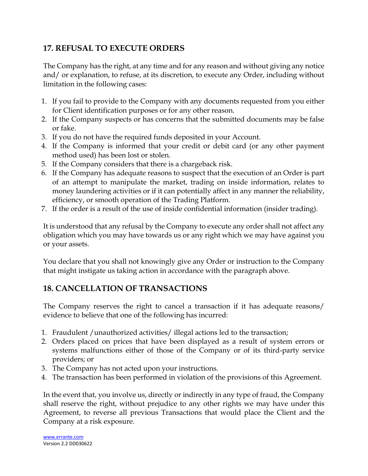# **17. REFUSAL TO EXECUTE ORDERS**

The Company has the right, at any time and for any reason and without giving any notice and/ or explanation, to refuse, at its discretion, to execute any Order, including without limitation in the following cases:

- 1. If you fail to provide to the Company with any documents requested from you either for Client identification purposes or for any other reason.
- 2. If the Company suspects or has concerns that the submitted documents may be false or fake.
- 3. If you do not have the required funds deposited in your Account.
- 4. If the Company is informed that your credit or debit card (or any other payment method used) has been lost or stolen.
- 5. If the Company considers that there is a chargeback risk.
- 6. If the Company has adequate reasons to suspect that the execution of an Order is part of an attempt to manipulate the market, trading on inside information, relates to money laundering activities or if it can potentially affect in any manner the reliability, efficiency, or smooth operation of the Trading Platform.
- 7. If the order is a result of the use of inside confidential information (insider trading).

It is understood that any refusal by the Company to execute any order shall not affect any obligation which you may have towards us or any right which we may have against you or your assets.

You declare that you shall not knowingly give any Order or instruction to the Company that might instigate us taking action in accordance with the paragraph above.

# **18. CANCELLATION OF TRANSACTIONS**

The Company reserves the right to cancel a transaction if it has adequate reasons/ evidence to believe that one of the following has incurred:

- 1. Fraudulent /unauthorized activities/ illegal actions led to the transaction;
- 2. Orders placed on prices that have been displayed as a result of system errors or systems malfunctions either of those of the Company or of its third-party service providers; or
- 3. The Company has not acted upon your instructions.
- 4. The transaction has been performed in violation of the provisions of this Agreement.

In the event that, you involve us, directly or indirectly in any type of fraud, the Company shall reserve the right, without prejudice to any other rights we may have under this Agreement, to reverse all previous Transactions that would place the Client and the Company at a risk exposure.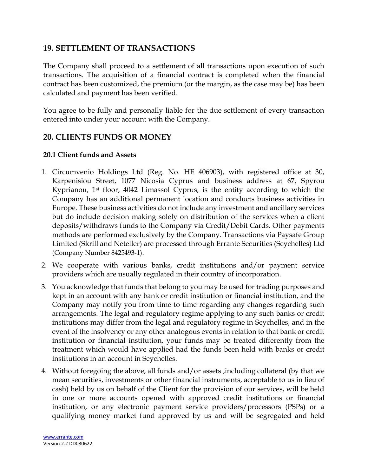## **19. SETTLEMENT OF TRANSACTIONS**

The Company shall proceed to a settlement of all transactions upon execution of such transactions. The acquisition of a financial contract is completed when the financial contract has been customized, the premium (or the margin, as the case may be) has been calculated and payment has been verified.

You agree to be fully and personally liable for the due settlement of every transaction entered into under your account with the Company.

## **20. CLIENTS FUNDS OR MONEY**

#### **20.1 Client funds and Assets**

- 1. Circumvenio Holdings Ltd (Reg. No. HE 406903), with registered office at 30, Karpenisiou Street, 1077 Nicosia Cyprus and business address at 67, Spyrou Kyprianou, 1st floor, 4042 Limassol Cyprus, is the entity according to which the Company has an additional permanent location and conducts business activities in Europe. These business activities do not include any investment and ancillary services but do include decision making solely on distribution of the services when a client deposits/withdraws funds to the Company via Credit/Debit Cards. Other payments methods are performed exclusively by the Company. Transactions via Paysafe Group Limited (Skrill and Neteller) are processed through Errante Securities (Seychelles) Ltd (Company Number 8425493-1).
- 2. We cooperate with various banks, credit institutions and/or payment service providers which are usually regulated in their country of incorporation.
- 3. You acknowledge that funds that belong to you may be used for trading purposes and kept in an account with any bank or credit institution or financial institution, and the Company may notify you from time to time regarding any changes regarding such arrangements. The legal and regulatory regime applying to any such banks or credit institutions may differ from the legal and regulatory regime in Seychelles, and in the event of the insolvency or any other analogous events in relation to that bank or credit institution or financial institution, your funds may be treated differently from the treatment which would have applied had the funds been held with banks or credit institutions in an account in Seychelles.
- 4. Without foregoing the above, all funds and/or assets ,including collateral (by that we mean securities, investments or other financial instruments, acceptable to us in lieu of cash) held by us on behalf of the Client for the provision of our services, will be held in one or more accounts opened with approved credit institutions or financial institution, or any electronic payment service providers/processors (PSPs) or a qualifying money market fund approved by us and will be segregated and held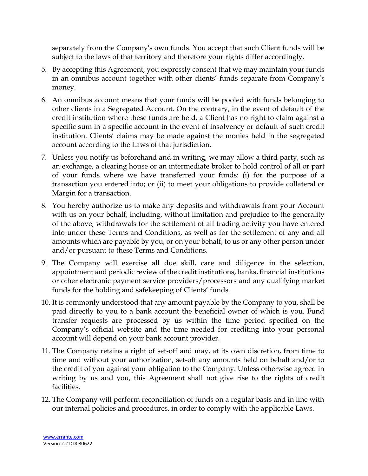separately from the Company's own funds. You accept that such Client funds will be subject to the laws of that territory and therefore your rights differ accordingly.

- 5. By accepting this Agreement, you expressly consent that we may maintain your funds in an omnibus account together with other clients' funds separate from Company's money.
- 6. An omnibus account means that your funds will be pooled with funds belonging to other clients in a Segregated Account. On the contrary, in the event of default of the credit institution where these funds are held, a Client has no right to claim against a specific sum in a specific account in the event of insolvency or default of such credit institution. Clients' claims may be made against the monies held in the segregated account according to the Laws of that jurisdiction.
- 7. Unless you notify us beforehand and in writing, we may allow a third party, such as an exchange, a clearing house or an intermediate broker to hold control of all or part of your funds where we have transferred your funds: (i) for the purpose of a transaction you entered into; or (ii) to meet your obligations to provide collateral or Margin for a transaction.
- 8. You hereby authorize us to make any deposits and withdrawals from your Account with us on your behalf, including, without limitation and prejudice to the generality of the above, withdrawals for the settlement of all trading activity you have entered into under these Terms and Conditions, as well as for the settlement of any and all amounts which are payable by you, or on your behalf, to us or any other person under and/or pursuant to these Terms and Conditions.
- 9. The Company will exercise all due skill, care and diligence in the selection, appointment and periodic review of the credit institutions, banks, financial institutions or other electronic payment service providers/processors and any qualifying market funds for the holding and safekeeping of Clients' funds.
- 10. It is commonly understood that any amount payable by the Company to you, shall be paid directly to you to a bank account the beneficial owner of which is you. Fund transfer requests are processed by us within the time period specified on the Company's official website and the time needed for crediting into your personal account will depend on your bank account provider.
- 11. The Company retains a right of set-off and may, at its own discretion, from time to time and without your authorization, set-off any amounts held on behalf and/or to the credit of you against your obligation to the Company. Unless otherwise agreed in writing by us and you, this Agreement shall not give rise to the rights of credit facilities.
- 12. The Company will perform reconciliation of funds on a regular basis and in line with our internal policies and procedures, in order to comply with the applicable Laws.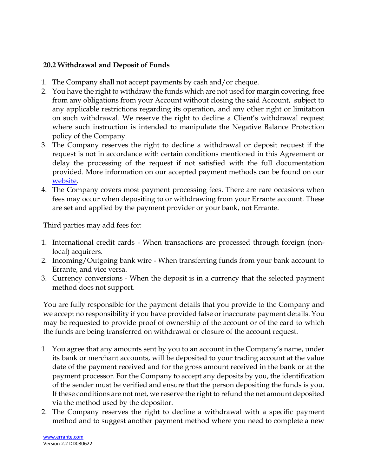#### **20.2 Withdrawal and Deposit of Funds**

- 1. The Company shall not accept payments by cash and/or cheque.
- 2. You have the right to withdraw the funds which are not used for margin covering, free from any obligations from your Account without closing the said Account, subject to any applicable restrictions regarding its operation, and any other right or limitation on such withdrawal. We reserve the right to decline a Client's withdrawal request where such instruction is intended to manipulate the Negative Balance Protection policy of the Company.
- 3. The Company reserves the right to decline a withdrawal or deposit request if the request is not in accordance with certain conditions mentioned in this Agreement or delay the processing of the request if not satisfied with the full documentation provided. More information on our accepted payment methods can be found on our [website.](https://errante.com/funding-methods/)
- 4. The Company covers most payment processing fees. There are rare occasions when fees may occur when depositing to or withdrawing from your Errante account. These are set and applied by the payment provider or your bank, not Errante.

Third parties may add fees for:

- 1. International credit cards When transactions are processed through foreign (nonlocal) acquirers.
- 2. Incoming/Outgoing bank wire When transferring funds from your bank account to Errante, and vice versa.
- 3. Currency conversions When the deposit is in a currency that the selected payment method does not support.

You are fully responsible for the payment details that you provide to the Company and we accept no responsibility if you have provided false or inaccurate payment details. You may be requested to provide proof of ownership of the account or of the card to which the funds are being transferred on withdrawal or closure of the account request.

- 1. You agree that any amounts sent by you to an account in the Company's name, under its bank or merchant accounts, will be deposited to your trading account at the value date of the payment received and for the gross amount received in the bank or at the payment processor. For the Company to accept any deposits by you, the identification of the sender must be verified and ensure that the person depositing the funds is you. If these conditions are not met, we reserve the right to refund the net amount deposited via the method used by the depositor.
- 2. The Company reserves the right to decline a withdrawal with a specific payment method and to suggest another payment method where you need to complete a new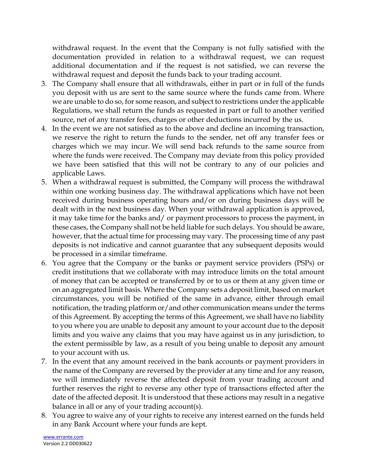withdrawal request. In the event that the Company is not fully satisfied with the documentation provided in relation to a withdrawal request, we can request additional documentation and if the request is not satisfied, we can reverse the withdrawal request and deposit the funds back to your trading account.

- 3. The Company shall ensure that all withdrawals, either in part or in full of the funds you deposit with us are sent to the same source where the funds came from. Where we are unable to do so, for some reason, and subject to restrictions under the applicable Regulations, we shall return the funds as requested in part or full to another verified source, net of any transfer fees, charges or other deductions incurred by the us.
- 4. In the event we are not satisfied as to the above and decline an incoming transaction, we reserve the right to return the funds to the sender, net off any transfer fees or charges which we may incur. We will send back refunds to the same source from where the funds were received. The Company may deviate from this policy provided we have been satisfied that this will not be contrary to any of our policies and applicable Laws.
- 5. When a withdrawal request is submitted, the Company will process the withdrawal within one working business day. The withdrawal applications which have not been received during business operating hours and/or on during business days will be dealt with in the next business day. When your withdrawal application is approved, it may take time for the banks and/ or payment processors to process the payment, in these cases, the Company shall not be held liable for such delays. You should be aware, however, that the actual time for processing may vary. The processing time of any past deposits is not indicative and cannot guarantee that any subsequent deposits would be processed in a similar timeframe.
- 6. You agree that the Company or the banks or payment service providers (PSPs) or credit institutions that we collaborate with may introduce limits on the total amount of money that can be accepted or transferred by or to us or them at any given time or on an aggregated limit basis. Where the Company sets a deposit limit, based on market circumstances, you will be notified of the same in advance, either through email notification, the trading platform or/and other communication means under the terms of this Agreement. By accepting the terms of this Agreement, we shall have no liability to you where you are unable to deposit any amount to your account due to the deposit limits and you waive any claims that you may have against us in any jurisdiction, to the extent permissible by law, as a result of you being unable to deposit any amount to your account with us.
- 7. In the event that any amount received in the bank accounts or payment providers in the name of the Company are reversed by the provider at any time and for any reason, we will immediately reverse the affected deposit from your trading account and further reserves the right to reverse any other type of transactions effected after the date of the affected deposit. It is understood that these actions may result in a negative balance in all or any of your trading account(s).
- 8. You agree to waive any of your rights to receive any interest earned on the funds held in any Bank Account where your funds are kept.

[www.errante.com](http://www.errante.com/) Version 2.2 DD030622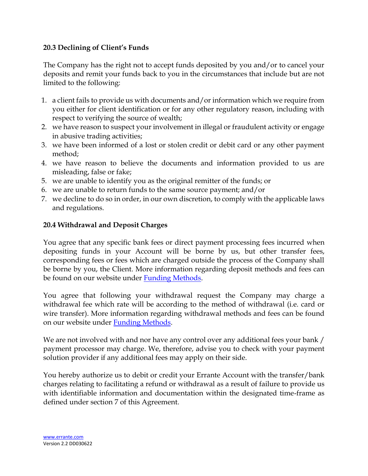#### **20.3 Declining of Client's Funds**

The Company has the right not to accept funds deposited by you and/or to cancel your deposits and remit your funds back to you in the circumstances that include but are not limited to the following:

- 1. a client fails to provide us with documents and/or information which we require from you either for client identification or for any other regulatory reason, including with respect to verifying the source of wealth;
- 2. we have reason to suspect your involvement in illegal or fraudulent activity or engage in abusive trading activities;
- 3. we have been informed of a lost or stolen credit or debit card or any other payment method;
- 4. we have reason to believe the documents and information provided to us are misleading, false or fake;
- 5. we are unable to identify you as the original remitter of the funds; or
- 6. we are unable to return funds to the same source payment; and/or
- 7. we decline to do so in order, in our own discretion, to comply with the applicable laws and regulations.

#### **20.4 Withdrawal and Deposit Charges**

You agree that any specific bank fees or direct payment processing fees incurred when depositing funds in your Account will be borne by us, but other transfer fees, corresponding fees or fees which are charged outside the process of the Company shall be borne by you, the Client. More information regarding deposit methods and fees can be found on our website under [Funding Methods.](https://errante.com/funding-methods/)

You agree that following your withdrawal request the Company may charge a withdrawal fee which rate will be according to the method of withdrawal (i.e. card or wire transfer). More information regarding withdrawal methods and fees can be found on our website under [Funding Methods.](https://errante.com/funding-methods/)

We are not involved with and nor have any control over any additional fees your bank / payment processor may charge. We, therefore, advise you to check with your payment solution provider if any additional fees may apply on their side.

You hereby authorize us to debit or credit your Errante Account with the transfer/bank charges relating to facilitating a refund or withdrawal as a result of failure to provide us with identifiable information and documentation within the designated time-frame as defined under section 7 of this Agreement.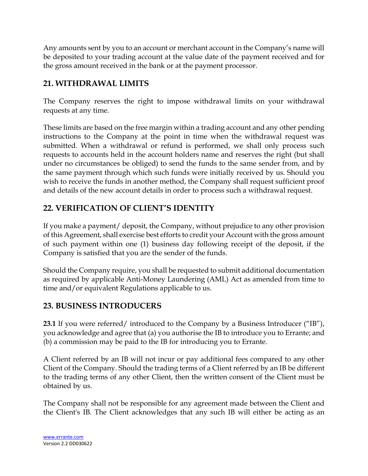Any amounts sent by you to an account or merchant account in the Company's name will be deposited to your trading account at the value date of the payment received and for the gross amount received in the bank or at the payment processor.

# **21. WITHDRAWAL LIMITS**

The Company reserves the right to impose withdrawal limits on your withdrawal requests at any time.

These limits are based on the free margin within a trading account and any other pending instructions to the Company at the point in time when the withdrawal request was submitted. When a withdrawal or refund is performed, we shall only process such requests to accounts held in the account holders name and reserves the right (but shall under no circumstances be obliged) to send the funds to the same sender from, and by the same payment through which such funds were initially received by us. Should you wish to receive the funds in another method, the Company shall request sufficient proof and details of the new account details in order to process such a withdrawal request.

# **22. VERIFICATION OF CLIENT'S IDENTITY**

If you make a payment/ deposit, the Company, without prejudice to any other provision of this Agreement, shall exercise best efforts to credit your Account with the gross amount of such payment within one (1) business day following receipt of the deposit, if the Company is satisfied that you are the sender of the funds.

Should the Company require, you shall be requested to submit additional documentation as required by applicable Anti-Money Laundering (AML) Act as amended from time to time and/or equivalent Regulations applicable to us.

# **23. BUSINESS INTRODUCERS**

**23.1** If you were referred/ introduced to the Company by a Business Introducer ("IB"), you acknowledge and agree that (a) you authorise the IB to introduce you to Errante; and (b) a commission may be paid to the IB for introducing you to Errante.

A Client referred by an IB will not incur or pay additional fees compared to any other Client of the Company. Should the trading terms of a Client referred by an IB be different to the trading terms of any other Client, then the written consent of the Client must be obtained by us.

The Company shall not be responsible for any agreement made between the Client and the Client's IB. The Client acknowledges that any such IB will either be acting as an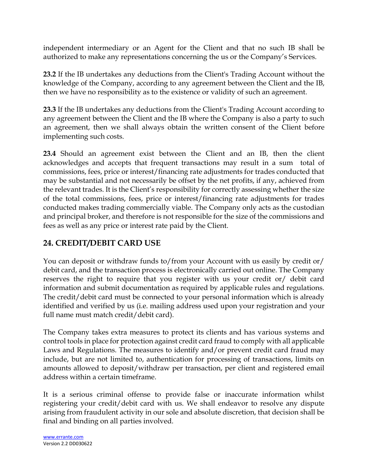independent intermediary or an Agent for the Client and that no such IB shall be authorized to make any representations concerning the us or the Company's Services.

**23.2** If the IB undertakes any deductions from the Client's Trading Account without the knowledge of the Company, according to any agreement between the Client and the IB, then we have no responsibility as to the existence or validity of such an agreement.

**23.3** If the IB undertakes any deductions from the Client's Trading Account according to any agreement between the Client and the IB where the Company is also a party to such an agreement, then we shall always obtain the written consent of the Client before implementing such costs.

**23.4** Should an agreement exist between the Client and an IB, then the client acknowledges and accepts that frequent transactions may result in a sum total of commissions, fees, price or interest/financing rate adjustments for trades conducted that may be substantial and not necessarily be offset by the net profits, if any, achieved from the relevant trades. It is the Client's responsibility for correctly assessing whether the size of the total commissions, fees, price or interest/financing rate adjustments for trades conducted makes trading commercially viable. The Company only acts as the custodian and principal broker, and therefore is not responsible for the size of the commissions and fees as well as any price or interest rate paid by the Client.

# **24. CREDIT/DEBIT CARD USE**

You can deposit or withdraw funds to/from your Account with us easily by credit or/ debit card, and the transaction process is electronically carried out online. The Company reserves the right to require that you register with us your credit or/ debit card information and submit documentation as required by applicable rules and regulations. The credit/debit card must be connected to your personal information which is already identified and verified by us (i.e. mailing address used upon your registration and your full name must match credit/debit card).

The Company takes extra measures to protect its clients and has various systems and control tools in place for protection against credit card fraud to comply with all applicable Laws and Regulations. The measures to identify and/or prevent credit card fraud may include, but are not limited to, authentication for processing of transactions, limits on amounts allowed to deposit/withdraw per transaction, per client and registered email address within a certain timeframe.

It is a serious criminal offense to provide false or inaccurate information whilst registering your credit/debit card with us. We shall endeavor to resolve any dispute arising from fraudulent activity in our sole and absolute discretion, that decision shall be final and binding on all parties involved.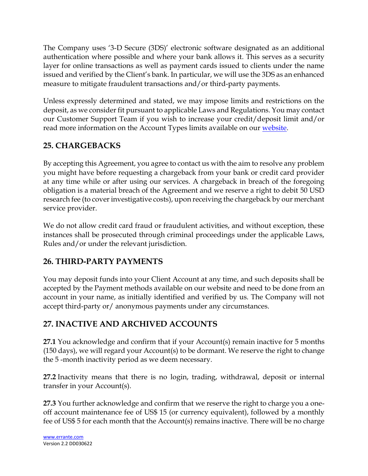The Company uses '3-D Secure (3DS)' electronic software designated as an additional authentication where possible and where your bank allows it. This serves as a security layer for online transactions as well as payment cards issued to clients under the name issued and verified by the Client's bank. In particular, we will use the 3DS as an enhanced measure to mitigate fraudulent transactions and/or third-party payments.

Unless expressly determined and stated, we may impose limits and restrictions on the deposit, as we consider fit pursuant to applicable Laws and Regulations. You may contact our Customer Support Team if you wish to increase your credit/deposit limit and/or read more information on the Account Types limits available on our [website.](https://errante.com/account-types/)

# **25. CHARGEBACKS**

By accepting this Agreement, you agree to contact us with the aim to resolve any problem you might have before requesting a chargeback from your bank or credit card provider at any time while or after using our services. A chargeback in breach of the foregoing obligation is a material breach of the Agreement and we reserve a right to debit 50 USD research fee (to cover investigative costs), upon receiving the chargeback by our merchant service provider.

We do not allow credit card fraud or fraudulent activities, and without exception, these instances shall be prosecuted through criminal proceedings under the applicable Laws, Rules and/or under the relevant jurisdiction.

# **26. THIRD-PARTY PAYMENTS**

You may deposit funds into your Client Account at any time, and such deposits shall be accepted by the Payment methods available on our website and need to be done from an account in your name, as initially identified and verified by us. The Company will not accept third-party or/ anonymous payments under any circumstances.

# **27. INACTIVE AND ARCHIVED ACCOUNTS**

**27.1** You acknowledge and confirm that if your Account(s) remain inactive for 5 months (150 days), we will regard your Account(s) to be dormant. We reserve the right to change the 5 -month inactivity period as we deem necessary.

**27.2** Inactivity means that there is no login, trading, withdrawal, deposit or internal transfer in your Account(s).

**27.3** You further acknowledge and confirm that we reserve the right to charge you a oneoff account maintenance fee of US\$ 15 (or currency equivalent), followed by a monthly fee of US\$ 5 for each month that the Account(s) remains inactive. There will be no charge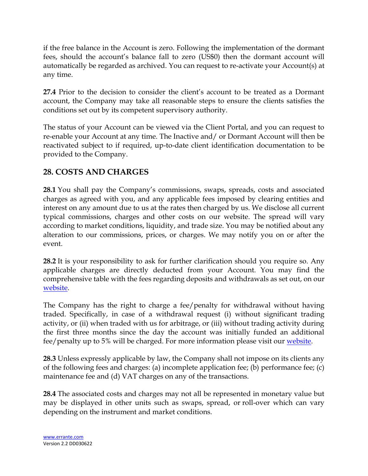if the free balance in the Account is zero. Following the implementation of the dormant fees, should the account's balance fall to zero (US\$0) then the dormant account will automatically be regarded as archived. You can request to re-activate your Account(s) at any time.

**27.4** Prior to the decision to consider the client's account to be treated as a Dormant account, the Company may take all reasonable steps to ensure the clients satisfies the conditions set out by its competent supervisory authority.

The status of your Account can be viewed via the Client Portal, and you can request to re-enable your Account at any time. The Inactive and/ or Dormant Account will then be reactivated subject to if required, up-to-date client identification documentation to be provided to the Company.

# **28. COSTS AND CHARGES**

**28.1** You shall pay the Company's commissions, swaps, spreads, costs and associated charges as agreed with you, and any applicable fees imposed by clearing entities and interest on any amount due to us at the rates then charged by us. We disclose all current typical commissions, charges and other costs on our website. The spread will vary according to market conditions, liquidity, and trade size. You may be notified about any alteration to our commissions, prices, or charges. We may notify you on or after the event.

**28.2** It is your responsibility to ask for further clarification should you require so. Any applicable charges are directly deducted from your Account. You may find the comprehensive table with the fees regarding deposits and withdrawals as set out, on our [website.](https://errante.com/funding-methods/)

The Company has the right to charge a fee/penalty for withdrawal without having traded. Specifically, in case of a withdrawal request (i) without significant trading activity, or (ii) when traded with us for arbitrage, or (iii) without trading activity during the first three months since the day the account was initially funded an additional fee/penalty up to 5% will be charged. For more information please visit our [website.](https://errante.com/funding-methods/)

**28.3** Unless expressly applicable by law, the Company shall not impose on its clients any of the following fees and charges: (a) incomplete application fee; (b) performance fee; (c) maintenance fee and (d) VAT charges on any of the transactions.

**28.4** The associated costs and charges may not all be represented in monetary value but may be displayed in other units such as swaps, spread, or roll-over which can vary depending on the instrument and market conditions.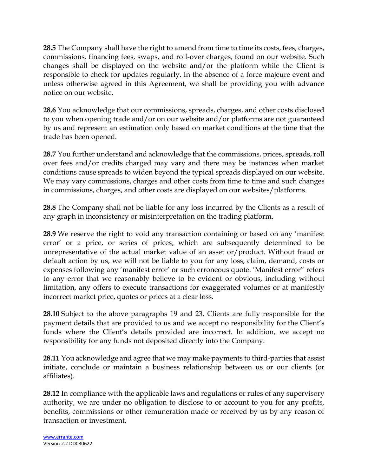**28.5** The Company shall have the right to amend from time to time its costs, fees, charges, commissions, financing fees, swaps, and roll-over charges, found on our website. Such changes shall be displayed on the website and/or the platform while the Client is responsible to check for updates regularly. In the absence of a force majeure event and unless otherwise agreed in this Agreement, we shall be providing you with advance notice on our website.

**28.6** You acknowledge that our commissions, spreads, charges, and other costs disclosed to you when opening trade and/or on our website and/or platforms are not guaranteed by us and represent an estimation only based on market conditions at the time that the trade has been opened.

**28.7** You further understand and acknowledge that the commissions, prices, spreads, roll over fees and/or credits charged may vary and there may be instances when market conditions cause spreads to widen beyond the typical spreads displayed on our website. We may vary commissions, charges and other costs from time to time and such changes in commissions, charges, and other costs are displayed on our websites/platforms.

**28.8** The Company shall not be liable for any loss incurred by the Clients as a result of any graph in inconsistency or misinterpretation on the trading platform.

**28.9** We reserve the right to void any transaction containing or based on any 'manifest error' or a price, or series of prices, which are subsequently determined to be unrepresentative of the actual market value of an asset or/product. Without fraud or default action by us, we will not be liable to you for any loss, claim, demand, costs or expenses following any 'manifest error' or such erroneous quote. 'Manifest error" refers to any error that we reasonably believe to be evident or obvious, including without limitation, any offers to execute transactions for exaggerated volumes or at manifestly incorrect market price, quotes or prices at a clear loss.

**28.10** Subject to the above paragraphs 19 and 23, Clients are fully responsible for the payment details that are provided to us and we accept no responsibility for the Client's funds where the Client's details provided are incorrect. In addition, we accept no responsibility for any funds not deposited directly into the Company.

**28.11** You acknowledge and agree that we may make payments to third-parties that assist initiate, conclude or maintain a business relationship between us or our clients (or affiliates).

**28.12** In compliance with the applicable laws and regulations or rules of any supervisory authority, we are under no obligation to disclose to or account to you for any profits, benefits, commissions or other remuneration made or received by us by any reason of transaction or investment.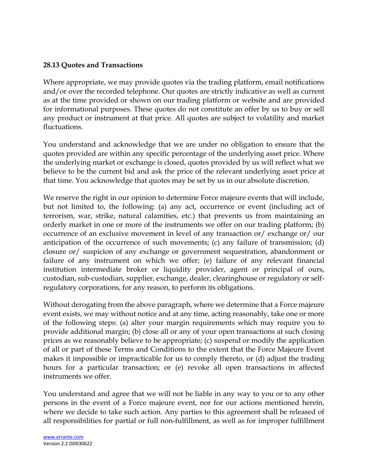#### **28.13 Quotes and Transactions**

Where appropriate, we may provide quotes via the trading platform, email notifications and/or over the recorded telephone. Our quotes are strictly indicative as well as current as at the time provided or shown on our trading platform or website and are provided for informational purposes. These quotes do not constitute an offer by us to buy or sell any product or instrument at that price. All quotes are subject to volatility and market fluctuations.

You understand and acknowledge that we are under no obligation to ensure that the quotes provided are within any specific percentage of the underlying asset price. Where the underlying market or exchange is closed, quotes provided by us will reflect what we believe to be the current bid and ask the price of the relevant underlying asset price at that time. You acknowledge that quotes may be set by us in our absolute discretion.

We reserve the right in our opinion to determine Force majeure events that will include, but not limited to, the following: (a) any act, occurrence or event (including act of terrorism, war, strike, natural calamities, etc.) that prevents us from maintaining an orderly market in one or more of the instruments we offer on our trading platform; (b) occurrence of an exclusive movement in level of any transaction or/ exchange or/ our anticipation of the occurrence of such movements; (c) any failure of transmission; (d) closure or/ suspicion of any exchange or government sequestration, abandonment or failure of any instrument on which we offer; (e) failure of any relevant financial institution intermediate broker or liquidity provider, agent or principal of ours, custodian, sub-custodian, supplier, exchange, dealer, clearinghouse or regulatory or selfregulatory corporations, for any reason, to perform its obligations.

Without derogating from the above paragraph, where we determine that a Force majeure event exists, we may without notice and at any time, acting reasonably, take one or more of the following steps: (a) alter your margin requirements which may require you to provide additional margin; (b) close all or any of your open transactions at such closing prices as we reasonably believe to be appropriate; (c) suspend or modify the application of all or part of these Terms and Conditions to the extent that the Force Majeure Event makes it impossible or impracticable for us to comply thereto, or (d) adjust the trading hours for a particular transaction; or (e) revoke all open transactions in affected instruments we offer.

You understand and agree that we will not be liable in any way to you or to any other persons in the event of a Force majeure event, nor for our actions mentioned herein, where we decide to take such action. Any parties to this agreement shall be released of all responsibilities for partial or full non-fulfillment, as well as for improper fulfillment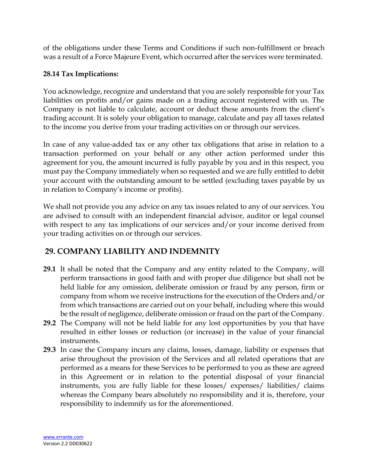of the obligations under these Terms and Conditions if such non-fulfillment or breach was a result of a Force Majeure Event, which occurred after the services were terminated.

#### **28.14 Tax Implications:**

You acknowledge, recognize and understand that you are solely responsible for your Tax liabilities on profits and/or gains made on a trading account registered with us. The Company is not liable to calculate, account or deduct these amounts from the client's trading account. It is solely your obligation to manage, calculate and pay all taxes related to the income you derive from your trading activities on or through our services.

In case of any value-added tax or any other tax obligations that arise in relation to a transaction performed on your behalf or any other action performed under this agreement for you, the amount incurred is fully payable by you and in this respect, you must pay the Company immediately when so requested and we are fully entitled to debit your account with the outstanding amount to be settled (excluding taxes payable by us in relation to Company's income or profits).

We shall not provide you any advice on any tax issues related to any of our services. You are advised to consult with an independent financial advisor, auditor or legal counsel with respect to any tax implications of our services and/or your income derived from your trading activities on or through our services.

# **29. COMPANY LIABILITY AND INDEMNITY**

- **29.1** It shall be noted that the Company and any entity related to the Company, will perform transactions in good faith and with proper due diligence but shall not be held liable for any omission, deliberate omission or fraud by any person, firm or company from whom we receive instructions for the execution of the Orders and/or from which transactions are carried out on your behalf, including where this would be the result of negligence, deliberate omission or fraud on the part of the Company.
- **29.2** The Company will not be held liable for any lost opportunities by you that have resulted in either losses or reduction (or increase) in the value of your financial instruments.
- **29.3** In case the Company incurs any claims, losses, damage, liability or expenses that arise throughout the provision of the Services and all related operations that are performed as a means for these Services to be performed to you as these are agreed in this Agreement or in relation to the potential disposal of your financial instruments, you are fully liable for these losses/ expenses/ liabilities/ claims whereas the Company bears absolutely no responsibility and it is, therefore, your responsibility to indemnify us for the aforementioned.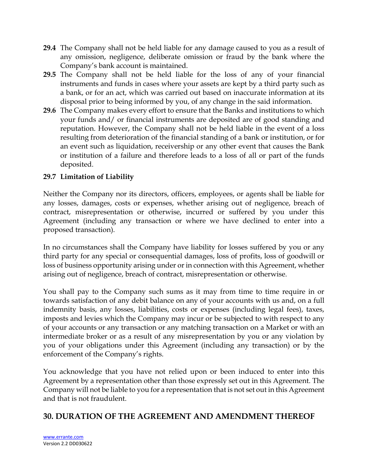- **29.4** The Company shall not be held liable for any damage caused to you as a result of any omission, negligence, deliberate omission or fraud by the bank where the Company's bank account is maintained.
- **29.5** The Company shall not be held liable for the loss of any of your financial instruments and funds in cases where your assets are kept by a third party such as a bank, or for an act, which was carried out based on inaccurate information at its disposal prior to being informed by you, of any change in the said information.
- **29.6** The Company makes every effort to ensure that the Banks and institutions to which your funds and/ or financial instruments are deposited are of good standing and reputation. However, the Company shall not be held liable in the event of a loss resulting from deterioration of the financial standing of a bank or institution, or for an event such as liquidation, receivership or any other event that causes the Bank or institution of a failure and therefore leads to a loss of all or part of the funds deposited.

#### **29.7 Limitation of Liability**

Neither the Company nor its directors, officers, employees, or agents shall be liable for any losses, damages, costs or expenses, whether arising out of negligence, breach of contract, misrepresentation or otherwise, incurred or suffered by you under this Agreement (including any transaction or where we have declined to enter into a proposed transaction).

In no circumstances shall the Company have liability for losses suffered by you or any third party for any special or consequential damages, loss of profits, loss of goodwill or loss of business opportunity arising under or in connection with this Agreement, whether arising out of negligence, breach of contract, misrepresentation or otherwise.

You shall pay to the Company such sums as it may from time to time require in or towards satisfaction of any debit balance on any of your accounts with us and, on a full indemnity basis, any losses, liabilities, costs or expenses (including legal fees), taxes, imposts and levies which the Company may incur or be subjected to with respect to any of your accounts or any transaction or any matching transaction on a Market or with an intermediate broker or as a result of any misrepresentation by you or any violation by you of your obligations under this Agreement (including any transaction) or by the enforcement of the Company's rights.

You acknowledge that you have not relied upon or been induced to enter into this Agreement by a representation other than those expressly set out in this Agreement. The Company will not be liable to you for a representation that is not set out in this Agreement and that is not fraudulent.

# **30. DURATION OF THE AGREEMENT AND AMENDMENT THEREOF**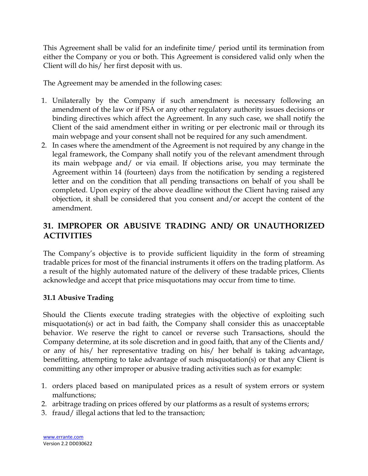This Agreement shall be valid for an indefinite time/ period until its termination from either the Company or you or both. This Agreement is considered valid only when the Client will do his/ her first deposit with us.

The Agreement may be amended in the following cases:

- 1. Unilaterally by the Company if such amendment is necessary following an amendment of the law or if FSA or any other regulatory authority issues decisions or binding directives which affect the Agreement. In any such case, we shall notify the Client of the said amendment either in writing or per electronic mail or through its main webpage and your consent shall not be required for any such amendment.
- 2. In cases where the amendment of the Agreement is not required by any change in the legal framework, the Company shall notify you of the relevant amendment through its main webpage and/ or via email. If objections arise, you may terminate the Agreement within 14 (fourteen) days from the notification by sending a registered letter and on the condition that all pending transactions on behalf of you shall be completed. Upon expiry of the above deadline without the Client having raised any objection, it shall be considered that you consent and/or accept the content of the amendment.

# **31. IMPROPER OR ABUSIVE TRADING AND/ OR UNAUTHORIZED ACTIVITIES**

The Company's objective is to provide sufficient liquidity in the form of streaming tradable prices for most of the financial instruments it offers on the trading platform. As a result of the highly automated nature of the delivery of these tradable prices, Clients acknowledge and accept that price misquotations may occur from time to time.

#### **31.1 Abusive Trading**

Should the Clients execute trading strategies with the objective of exploiting such misquotation(s) or act in bad faith, the Company shall consider this as unacceptable behavior. We reserve the right to cancel or reverse such Transactions, should the Company determine, at its sole discretion and in good faith, that any of the Clients and/ or any of his/ her representative trading on his/ her behalf is taking advantage, benefitting, attempting to take advantage of such misquotation(s) or that any Client is committing any other improper or abusive trading activities such as for example:

- 1. orders placed based on manipulated prices as a result of system errors or system malfunctions;
- 2. arbitrage trading on prices offered by our platforms as a result of systems errors;
- 3. fraud/ illegal actions that led to the transaction;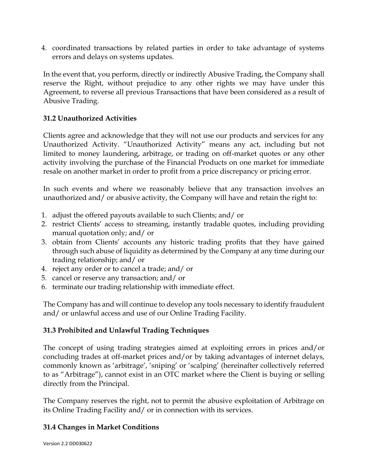4. coordinated transactions by related parties in order to take advantage of systems errors and delays on systems updates.

In the event that, you perform, directly or indirectly Abusive Trading, the Company shall reserve the Right, without prejudice to any other rights we may have under this Agreement, to reverse all previous Transactions that have been considered as a result of Abusive Trading.

#### **31.2 Unauthorized Activities**

Clients agree and acknowledge that they will not use our products and services for any Unauthorized Activity. "Unauthorized Activity" means any act, including but not limited to money laundering, arbitrage, or trading on off-market quotes or any other activity involving the purchase of the Financial Products on one market for immediate resale on another market in order to profit from a price discrepancy or pricing error.

In such events and where we reasonably believe that any transaction involves an unauthorized and/ or abusive activity, the Company will have and retain the right to:

- 1. adjust the offered payouts available to such Clients; and/ or
- 2. restrict Clients' access to streaming, instantly tradable quotes, including providing manual quotation only; and/ or
- 3. obtain from Clients' accounts any historic trading profits that they have gained through such abuse of liquidity as determined by the Company at any time during our trading relationship; and/ or
- 4. reject any order or to cancel a trade; and/ or
- 5. cancel or reserve any transaction; and/ or
- 6. terminate our trading relationship with immediate effect.

The Company has and will continue to develop any tools necessary to identify fraudulent and/ or unlawful access and use of our Online Trading Facility.

## **31.3 Prohibited and Unlawful Trading Techniques**

The concept of using trading strategies aimed at exploiting errors in prices and/or concluding trades at off-market prices and/or by taking advantages of internet delays, commonly known as 'arbitrage', 'sniping' or 'scalping' (hereinafter collectively referred to as "Arbitrage"), cannot exist in an OTC market where the Client is buying or selling directly from the Principal.

The Company reserves the right, not to permit the abusive exploitation of Arbitrage on its Online Trading Facility and/ or in connection with its services.

#### **31.4 Changes in Market Conditions**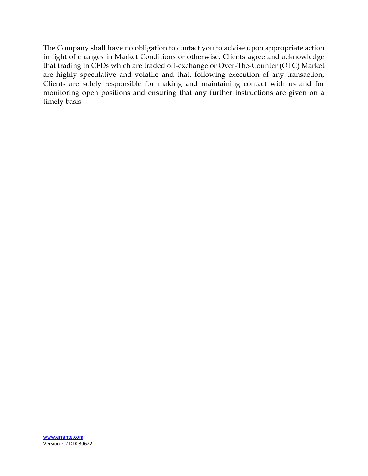The Company shall have no obligation to contact you to advise upon appropriate action in light of changes in Market Conditions or otherwise. Clients agree and acknowledge that trading in CFDs which are traded off-exchange or Over-The-Counter (OTC) Market are highly speculative and volatile and that, following execution of any transaction, Clients are solely responsible for making and maintaining contact with us and for monitoring open positions and ensuring that any further instructions are given on a timely basis.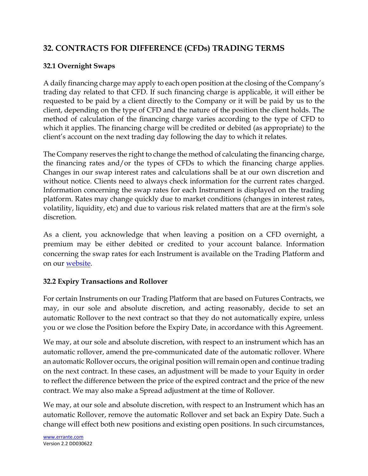# **32. CONTRACTS FOR DIFFERENCE (CFDs) TRADING TERMS**

#### **32.1 Overnight Swaps**

A daily financing charge may apply to each open position at the closing of the Company's trading day related to that CFD. If such financing charge is applicable, it will either be requested to be paid by a client directly to the Company or it will be paid by us to the client, depending on the type of CFD and the nature of the position the client holds. The method of calculation of the financing charge varies according to the type of CFD to which it applies. The financing charge will be credited or debited (as appropriate) to the client's account on the next trading day following the day to which it relates.

The Company reserves the right to change the method of calculating the financing charge, the financing rates and/or the types of CFDs to which the financing charge applies. Changes in our swap interest rates and calculations shall be at our own discretion and without notice. Clients need to always check information for the current rates charged. Information concerning the swap rates for each Instrument is displayed on the trading platform. Rates may change quickly due to market conditions (changes in interest rates, volatility, liquidity, etc) and due to various risk related matters that are at the firm's sole discretion.

As a client, you acknowledge that when leaving a position on a CFD overnight, a premium may be either debited or credited to your account balance. Information concerning the swap rates for each Instrument is available on the Trading Platform and on our [website.](https://errante.com/global-market/forex-markets/)

#### **32.2 Expiry Transactions and Rollover**

For certain Instruments on our Trading Platform that are based on Futures Contracts, we may, in our sole and absolute discretion, and acting reasonably, decide to set an automatic Rollover to the next contract so that they do not automatically expire, unless you or we close the Position before the Expiry Date, in accordance with this Agreement.

We may, at our sole and absolute discretion, with respect to an instrument which has an automatic rollover, amend the pre-communicated date of the automatic rollover. Where an automatic Rollover occurs, the original position will remain open and continue trading on the next contract. In these cases, an adjustment will be made to your Equity in order to reflect the difference between the price of the expired contract and the price of the new contract. We may also make a Spread adjustment at the time of Rollover.

We may, at our sole and absolute discretion, with respect to an Instrument which has an automatic Rollover, remove the automatic Rollover and set back an Expiry Date. Such a change will effect both new positions and existing open positions. In such circumstances,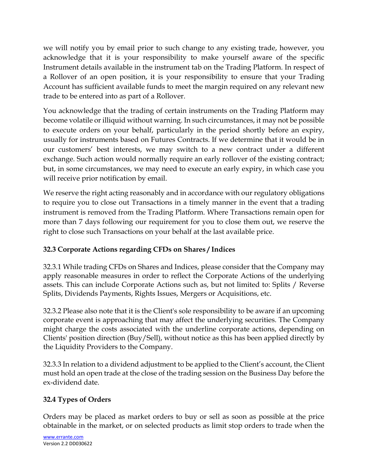we will notify you by email prior to such change to any existing trade, however, you acknowledge that it is your responsibility to make yourself aware of the specific Instrument details available in the instrument tab on the Trading Platform. In respect of a Rollover of an open position, it is your responsibility to ensure that your Trading Account has sufficient available funds to meet the margin required on any relevant new trade to be entered into as part of a Rollover.

You acknowledge that the trading of certain instruments on the Trading Platform may become volatile or illiquid without warning. In such circumstances, it may not be possible to execute orders on your behalf, particularly in the period shortly before an expiry, usually for instruments based on Futures Contracts. If we determine that it would be in our customers' best interests, we may switch to a new contract under a different exchange. Such action would normally require an early rollover of the existing contract; but, in some circumstances, we may need to execute an early expiry, in which case you will receive prior notification by email.

We reserve the right acting reasonably and in accordance with our regulatory obligations to require you to close out Transactions in a timely manner in the event that a trading instrument is removed from the Trading Platform. Where Transactions remain open for more than 7 days following our requirement for you to close them out, we reserve the right to close such Transactions on your behalf at the last available price.

# **32.3 Corporate Actions regarding CFDs on Shares / Indices**

32.3.1 While trading CFDs on Shares and Indices, please consider that the Company may apply reasonable measures in order to reflect the Corporate Actions of the underlying assets. This can include Corporate Actions such as, but not limited to: Splits / Reverse Splits, Dividends Payments, Rights Issues, Mergers or Acquisitions, etc.

32.3.2 Please also note that it is the Client's sole responsibility to be aware if an upcoming corporate event is approaching that may affect the underlying securities. The Company might charge the costs associated with the underline corporate actions, depending on Clients' position direction (Buy/Sell), without notice as this has been applied directly by the Liquidity Providers to the Company.

32.3.3 In relation to a dividend adjustment to be applied to the Client's account, the Client must hold an open trade at the close of the trading session on the Business Day before the ex-dividend date.

# **32.4 Types of Orders**

Orders may be placed as market orders to buy or sell as soon as possible at the price obtainable in the market, or on selected products as limit stop orders to trade when the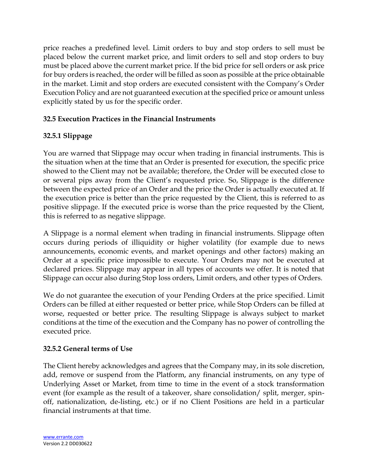price reaches a predefined level. Limit orders to buy and stop orders to sell must be placed below the current market price, and limit orders to sell and stop orders to buy must be placed above the current market price. If the bid price for sell orders or ask price for buy orders is reached, the order will be filled as soon as possible at the price obtainable in the market. Limit and stop orders are executed consistent with the Company's Order Execution Policy and are not guaranteed execution at the specified price or amount unless explicitly stated by us for the specific order.

## **32.5 Execution Practices in the Financial Instruments**

## **32.5.1 Slippage**

You are warned that Slippage may occur when trading in financial instruments. This is the situation when at the time that an Order is presented for execution, the specific price showed to the Client may not be available; therefore, the Order will be executed close to or several pips away from the Client's requested price. So, Slippage is the difference between the expected price of an Order and the price the Order is actually executed at. If the execution price is better than the price requested by the Client, this is referred to as positive slippage. If the executed price is worse than the price requested by the Client, this is referred to as negative slippage.

A Slippage is a normal element when trading in financial instruments. Slippage often occurs during periods of illiquidity or higher volatility (for example due to news announcements, economic events, and market openings and other factors) making an Order at a specific price impossible to execute. Your Orders may not be executed at declared prices. Slippage may appear in all types of accounts we offer. It is noted that Slippage can occur also during Stop loss orders, Limit orders, and other types of Orders.

We do not guarantee the execution of your Pending Orders at the price specified. Limit Orders can be filled at either requested or better price, while Stop Orders can be filled at worse, requested or better price. The resulting Slippage is always subject to market conditions at the time of the execution and the Company has no power of controlling the executed price.

## **32.5.2 General terms of Use**

The Client hereby acknowledges and agrees that the Company may, in its sole discretion, add, remove or suspend from the Platform, any financial instruments, on any type of Underlying Asset or Market, from time to time in the event of a stock transformation event (for example as the result of a takeover, share consolidation/ split, merger, spinoff, nationalization, de-listing, etc.) or if no Client Positions are held in a particular financial instruments at that time.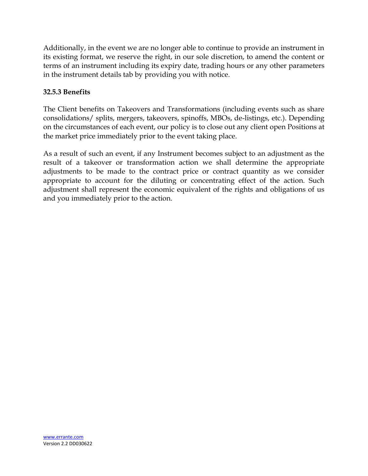Additionally, in the event we are no longer able to continue to provide an instrument in its existing format, we reserve the right, in our sole discretion, to amend the content or terms of an instrument including its expiry date, trading hours or any other parameters in the instrument details tab by providing you with notice.

#### **32.5.3 Benefits**

The Client benefits on Takeovers and Transformations (including events such as share consolidations/ splits, mergers, takeovers, spinoffs, MBOs, de-listings, etc.). Depending on the circumstances of each event, our policy is to close out any client open Positions at the market price immediately prior to the event taking place.

As a result of such an event, if any Instrument becomes subject to an adjustment as the result of a takeover or transformation action we shall determine the appropriate adjustments to be made to the contract price or contract quantity as we consider appropriate to account for the diluting or concentrating effect of the action. Such adjustment shall represent the economic equivalent of the rights and obligations of us and you immediately prior to the action.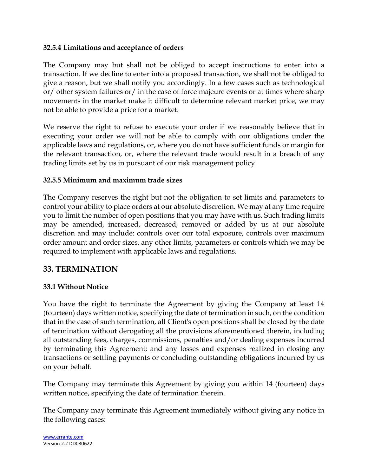#### **32.5.4 Limitations and acceptance of orders**

The Company may but shall not be obliged to accept instructions to enter into a transaction. If we decline to enter into a proposed transaction, we shall not be obliged to give a reason, but we shall notify you accordingly. In a few cases such as technological or/ other system failures or/ in the case of force majeure events or at times where sharp movements in the market make it difficult to determine relevant market price, we may not be able to provide a price for a market.

We reserve the right to refuse to execute your order if we reasonably believe that in executing your order we will not be able to comply with our obligations under the applicable laws and regulations, or, where you do not have sufficient funds or margin for the relevant transaction, or, where the relevant trade would result in a breach of any trading limits set by us in pursuant of our risk management policy.

#### **32.5.5 Minimum and maximum trade sizes**

The Company reserves the right but not the obligation to set limits and parameters to control your ability to place orders at our absolute discretion. We may at any time require you to limit the number of open positions that you may have with us. Such trading limits may be amended, increased, decreased, removed or added by us at our absolute discretion and may include: controls over our total exposure, controls over maximum order amount and order sizes, any other limits, parameters or controls which we may be required to implement with applicable laws and regulations.

## **33. TERMINATION**

#### **33.1 Without Notice**

You have the right to terminate the Agreement by giving the Company at least 14 (fourteen) days written notice, specifying the date of termination in such, on the condition that in the case of such termination, all Client's open positions shall be closed by the date of termination without derogating all the provisions aforementioned therein, including all outstanding fees, charges, commissions, penalties and/or dealing expenses incurred by terminating this Agreement; and any losses and expenses realized in closing any transactions or settling payments or concluding outstanding obligations incurred by us on your behalf.

The Company may terminate this Agreement by giving you within 14 (fourteen) days written notice, specifying the date of termination therein.

The Company may terminate this Agreement immediately without giving any notice in the following cases: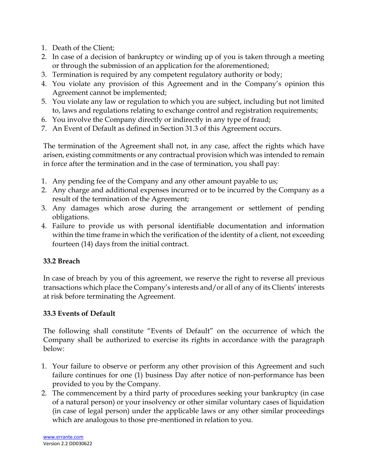- 1. Death of the Client;
- 2. In case of a decision of bankruptcy or winding up of you is taken through a meeting or through the submission of an application for the aforementioned;
- 3. Termination is required by any competent regulatory authority or body;
- 4. You violate any provision of this Agreement and in the Company's opinion this Agreement cannot be implemented;
- 5. You violate any law or regulation to which you are subject, including but not limited to, laws and regulations relating to exchange control and registration requirements;
- 6. You involve the Company directly or indirectly in any type of fraud;
- 7. An Event of Default as defined in Section 31.3 of this Agreement occurs.

The termination of the Agreement shall not, in any case, affect the rights which have arisen, existing commitments or any contractual provision which was intended to remain in force after the termination and in the case of termination, you shall pay:

- 1. Any pending fee of the Company and any other amount payable to us;
- 2. Any charge and additional expenses incurred or to be incurred by the Company as a result of the termination of the Agreement;
- 3. Any damages which arose during the arrangement or settlement of pending obligations.
- 4. Failure to provide us with personal identifiable documentation and information within the time frame in which the verification of the identity of a client, not exceeding fourteen (14) days from the initial contract.

## **33.2 Breach**

In case of breach by you of this agreement, we reserve the right to reverse all previous transactions which place the Company's interests and/or all of any of its Clients' interests at risk before terminating the Agreement.

#### **33.3 Events of Default**

The following shall constitute "Events of Default" on the occurrence of which the Company shall be authorized to exercise its rights in accordance with the paragraph below:

- 1. Your failure to observe or perform any other provision of this Agreement and such failure continues for one (1) business Day after notice of non-performance has been provided to you by the Company.
- 2. The commencement by a third party of procedures seeking your bankruptcy (in case of a natural person) or your insolvency or other similar voluntary cases of liquidation (in case of legal person) under the applicable laws or any other similar proceedings which are analogous to those pre-mentioned in relation to you.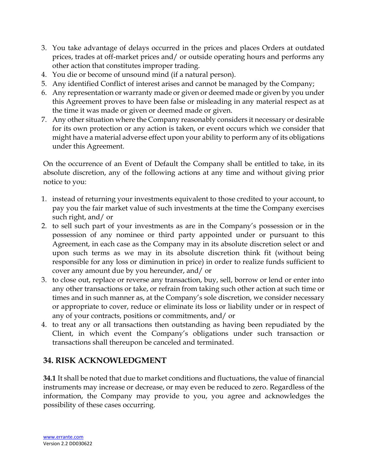- 3. You take advantage of delays occurred in the prices and places Orders at outdated prices, trades at off-market prices and/ or outside operating hours and performs any other action that constitutes improper trading.
- 4. You die or become of unsound mind (if a natural person).
- 5. Any identified Conflict of interest arises and cannot be managed by the Company;
- 6. Any representation or warranty made or given or deemed made or given by you under this Agreement proves to have been false or misleading in any material respect as at the time it was made or given or deemed made or given.
- 7. Any other situation where the Company reasonably considers it necessary or desirable for its own protection or any action is taken, or event occurs which we consider that might have a material adverse effect upon your ability to perform any of its obligations under this Agreement.

On the occurrence of an Event of Default the Company shall be entitled to take, in its absolute discretion, any of the following actions at any time and without giving prior notice to you:

- 1. instead of returning your investments equivalent to those credited to your account, to pay you the fair market value of such investments at the time the Company exercises such right, and/ or
- 2. to sell such part of your investments as are in the Company's possession or in the possession of any nominee or third party appointed under or pursuant to this Agreement, in each case as the Company may in its absolute discretion select or and upon such terms as we may in its absolute discretion think fit (without being responsible for any loss or diminution in price) in order to realize funds sufficient to cover any amount due by you hereunder, and/ or
- 3. to close out, replace or reverse any transaction, buy, sell, borrow or lend or enter into any other transactions or take, or refrain from taking such other action at such time or times and in such manner as, at the Company's sole discretion, we consider necessary or appropriate to cover, reduce or eliminate its loss or liability under or in respect of any of your contracts, positions or commitments, and/ or
- 4. to treat any or all transactions then outstanding as having been repudiated by the Client, in which event the Company's obligations under such transaction or transactions shall thereupon be canceled and terminated.

# **34. RISK ACKNOWLEDGMENT**

**34.1** It shall be noted that due to market conditions and fluctuations, the value of financial instruments may increase or decrease, or may even be reduced to zero. Regardless of the information, the Company may provide to you, you agree and acknowledges the possibility of these cases occurring.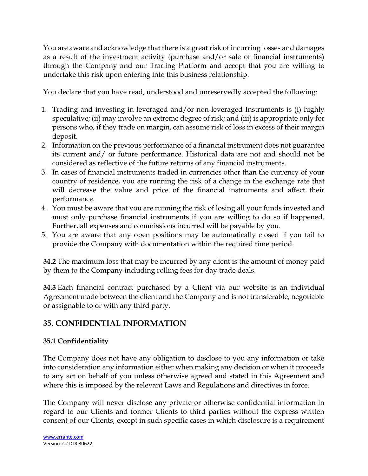You are aware and acknowledge that there is a great risk of incurring losses and damages as a result of the investment activity (purchase and/or sale of financial instruments) through the Company and our Trading Platform and accept that you are willing to undertake this risk upon entering into this business relationship.

You declare that you have read, understood and unreservedly accepted the following:

- 1. Trading and investing in leveraged and/or non-leveraged Instruments is (i) highly speculative; (ii) may involve an extreme degree of risk; and (iii) is appropriate only for persons who, if they trade on margin, can assume risk of loss in excess of their margin deposit.
- 2. Information on the previous performance of a financial instrument does not guarantee its current and/ or future performance. Historical data are not and should not be considered as reflective of the future returns of any financial instruments.
- 3. In cases of financial instruments traded in currencies other than the currency of your country of residence, you are running the risk of a change in the exchange rate that will decrease the value and price of the financial instruments and affect their performance.
- 4. You must be aware that you are running the risk of losing all your funds invested and must only purchase financial instruments if you are willing to do so if happened. Further, all expenses and commissions incurred will be payable by you.
- 5. You are aware that any open positions may be automatically closed if you fail to provide the Company with documentation within the required time period.

**34.2** The maximum loss that may be incurred by any client is the amount of money paid by them to the Company including rolling fees for day trade deals.

**34.3** Each financial contract purchased by a Client via our website is an individual Agreement made between the client and the Company and is not transferable, negotiable or assignable to or with any third party.

# **35. CONFIDENTIAL INFORMATION**

# **35.1 Confidentiality**

The Company does not have any obligation to disclose to you any information or take into consideration any information either when making any decision or when it proceeds to any act on behalf of you unless otherwise agreed and stated in this Agreement and where this is imposed by the relevant Laws and Regulations and directives in force.

The Company will never disclose any private or otherwise confidential information in regard to our Clients and former Clients to third parties without the express written consent of our Clients, except in such specific cases in which disclosure is a requirement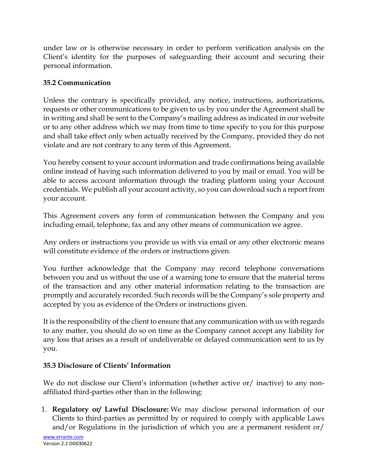under law or is otherwise necessary in order to perform verification analysis on the Client's identity for the purposes of safeguarding their account and securing their personal information.

## **35.2 Communication**

Unless the contrary is specifically provided, any notice, instructions, authorizations, requests or other communications to be given to us by you under the Agreement shall be in writing and shall be sent to the Company's mailing address as indicated in our website or to any other address which we may from time to time specify to you for this purpose and shall take effect only when actually received by the Company, provided they do not violate and are not contrary to any term of this Agreement.

You hereby consent to your account information and trade confirmations being available online instead of having such information delivered to you by mail or email. You will be able to access account information through the trading platform using your Account credentials. We publish all your account activity, so you can download such a report from your account.

This Agreement covers any form of communication between the Company and you including email, telephone, fax and any other means of communication we agree.

Any orders or instructions you provide us with via email or any other electronic means will constitute evidence of the orders or instructions given.

You further acknowledge that the Company may record telephone conversations between you and us without the use of a warning tone to ensure that the material terms of the transaction and any other material information relating to the transaction are promptly and accurately recorded. Such records will be the Company's sole property and accepted by you as evidence of the Orders or instructions given.

It is the responsibility of the client to ensure that any communication with us with regards to any matter, you should do so on time as the Company cannot accept any liability for any loss that arises as a result of undeliverable or delayed communication sent to us by you.

## **35.3 Disclosure of Clients' Information**

We do not disclose our Client's information (whether active or/ inactive) to any nonaffiliated third-parties other than in the following:

1. **Regulatory or/ Lawful Disclosure:** We may disclose personal information of our Clients to third-parties as permitted by or required to comply with applicable Laws and/or Regulations in the jurisdiction of which you are a permanent resident or/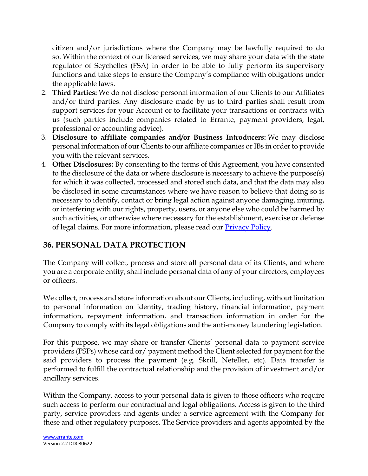citizen and/or jurisdictions where the Company may be lawfully required to do so. Within the context of our licensed services, we may share your data with the state regulator of Seychelles (FSA) in order to be able to fully perform its supervisory functions and take steps to ensure the Company's compliance with obligations under the applicable laws.

- 2. **Third Parties:** We do not disclose personal information of our Clients to our Affiliates and/or third parties. Any disclosure made by us to third parties shall result from support services for your Account or to facilitate your transactions or contracts with us (such parties include companies related to Errante, payment providers, legal, professional or accounting advice).
- 3. **Disclosure to affiliate companies and/or Business Introducers:** We may disclose personal information of our Clients to our affiliate companies or IBs in order to provide you with the relevant services.
- 4. **Other Disclosures:** By consenting to the terms of this Agreement, you have consented to the disclosure of the data or where disclosure is necessary to achieve the purpose(s) for which it was collected, processed and stored such data, and that the data may also be disclosed in some circumstances where we have reason to believe that doing so is necessary to identify, contact or bring legal action against anyone damaging, injuring, or interfering with our rights, property, users, or anyone else who could be harmed by such activities, or otherwise where necessary for the establishment, exercise or defense of legal claims. For more information, please read our [Privacy Policy.](https://errante.com/privacy-policy/)

# **36. PERSONAL DATA PROTECTION**

The Company will collect, process and store all personal data of its Clients, and where you are a corporate entity, shall include personal data of any of your directors, employees or officers.

We collect, process and store information about our Clients, including, without limitation to personal information on identity, trading history, financial information, payment information, repayment information, and transaction information in order for the Company to comply with its legal obligations and the anti-money laundering legislation.

For this purpose, we may share or transfer Clients' personal data to payment service providers (PSPs) whose card or/ payment method the Client selected for payment for the said providers to process the payment (e.g. Skrill, Neteller, etc). Data transfer is performed to fulfill the contractual relationship and the provision of investment and/or ancillary services.

Within the Company, access to your personal data is given to those officers who require such access to perform our contractual and legal obligations. Access is given to the third party, service providers and agents under a service agreement with the Company for these and other regulatory purposes. The Service providers and agents appointed by the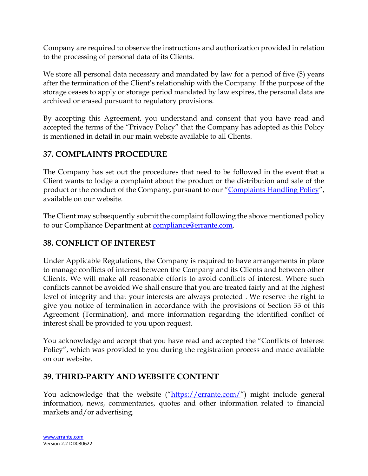Company are required to observe the instructions and authorization provided in relation to the processing of personal data of its Clients.

We store all personal data necessary and mandated by law for a period of five (5) years after the termination of the Client's relationship with the Company. If the purpose of the storage ceases to apply or storage period mandated by law expires, the personal data are archived or erased pursuant to regulatory provisions.

By accepting this Agreement, you understand and consent that you have read and accepted the terms of the "Privacy Policy" that the Company has adopted as this Policy is mentioned in detail in our main website available to all Clients.

# **37. COMPLAINTS PROCEDURE**

The Company has set out the procedures that need to be followed in the event that a Client wants to lodge a complaint about the product or the distribution and sale of the product or the conduct of the Company, pursuant to our "Complaints [Handling Policy](https://errante.com/complaints-handling-policy/)", available on our website.

The Client may subsequently submit the complaint following the above mentioned policy to our Compliance Department at [compliance@errante.com.](mailto:compliance@errante.com)

# **38. CONFLICT OF INTEREST**

Under Applicable Regulations, the Company is required to have arrangements in place to manage conflicts of interest between the Company and its Clients and between other Clients. We will make all reasonable efforts to avoid conflicts of interest. Where such conflicts cannot be avoided We shall ensure that you are treated fairly and at the highest level of integrity and that your interests are always protected . We reserve the right to give you notice of termination in accordance with the provisions of Section 33 of this Agreement (Termination), and more information regarding the identified conflict of interest shall be provided to you upon request.

You acknowledge and accept that you have read and accepted the "Conflicts of Interest Policy", which was provided to you during the registration process and made available on our website.

# **39. THIRD-PARTY AND WEBSITE CONTENT**

You acknowledge that the website ("<https://errante.com/>") might include general information, news, commentaries, quotes and other information related to financial markets and/or advertising.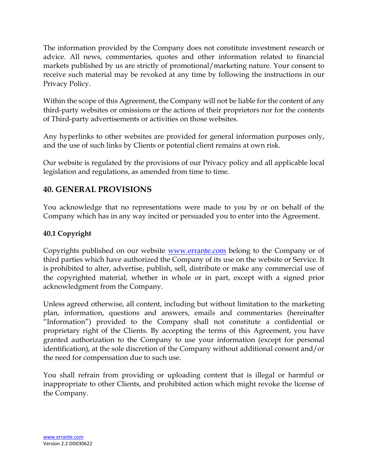The information provided by the Company does not constitute investment research or advice. All news, commentaries, quotes and other information related to financial markets published by us are strictly of promotional/marketing nature. Your consent to receive such material may be revoked at any time by following the instructions in our Privacy Policy.

Within the scope of this Agreement, the Company will not be liable for the content of any third-party websites or omissions or the actions of their proprietors nor for the contents of Third-party advertisements or activities on those websites.

Any hyperlinks to other websites are provided for general information purposes only, and the use of such links by Clients or potential client remains at own risk.

Our website is regulated by the provisions of our Privacy policy and all applicable local legislation and regulations, as amended from time to time.

# **40. GENERAL PROVISIONS**

You acknowledge that no representations were made to you by or on behalf of the Company which has in any way incited or persuaded you to enter into the Agreement.

#### **40.1 Copyright**

Copyrights published on our website [www.errante.com](http://www.errante.com/) belong to the Company or of third parties which have authorized the Company of its use on the website or Service. It is prohibited to alter, advertise, publish, sell, distribute or make any commercial use of the copyrighted material, whether in whole or in part, except with a signed prior acknowledgment from the Company.

Unless agreed otherwise, all content, including but without limitation to the marketing plan, information, questions and answers, emails and commentaries (hereinafter "Information") provided to the Company shall not constitute a confidential or proprietary right of the Clients. By accepting the terms of this Agreement, you have granted authorization to the Company to use your information (except for personal identification), at the sole discretion of the Company without additional consent and/or the need for compensation due to such use.

You shall refrain from providing or uploading content that is illegal or harmful or inappropriate to other Clients, and prohibited action which might revoke the license of the Company.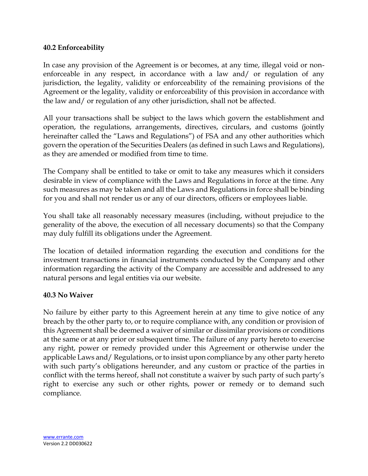#### **40.2 Enforceability**

In case any provision of the Agreement is or becomes, at any time, illegal void or nonenforceable in any respect, in accordance with a law and/ or regulation of any jurisdiction, the legality, validity or enforceability of the remaining provisions of the Agreement or the legality, validity or enforceability of this provision in accordance with the law and/ or regulation of any other jurisdiction, shall not be affected.

All your transactions shall be subject to the laws which govern the establishment and operation, the regulations, arrangements, directives, circulars, and customs (jointly hereinafter called the "Laws and Regulations") of FSA and any other authorities which govern the operation of the Securities Dealers (as defined in such Laws and Regulations), as they are amended or modified from time to time.

The Company shall be entitled to take or omit to take any measures which it considers desirable in view of compliance with the Laws and Regulations in force at the time. Any such measures as may be taken and all the Laws and Regulations in force shall be binding for you and shall not render us or any of our directors, officers or employees liable.

You shall take all reasonably necessary measures (including, without prejudice to the generality of the above, the execution of all necessary documents) so that the Company may duly fulfill its obligations under the Agreement.

The location of detailed information regarding the execution and conditions for the investment transactions in financial instruments conducted by the Company and other information regarding the activity of the Company are accessible and addressed to any natural persons and legal entities via our website.

#### **40.3 No Waiver**

No failure by either party to this Agreement herein at any time to give notice of any breach by the other party to, or to require compliance with, any condition or provision of this Agreement shall be deemed a waiver of similar or dissimilar provisions or conditions at the same or at any prior or subsequent time. The failure of any party hereto to exercise any right, power or remedy provided under this Agreement or otherwise under the applicable Laws and/ Regulations, or to insist upon compliance by any other party hereto with such party's obligations hereunder, and any custom or practice of the parties in conflict with the terms hereof, shall not constitute a waiver by such party of such party's right to exercise any such or other rights, power or remedy or to demand such compliance.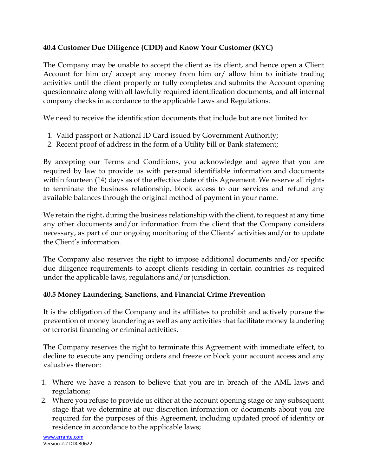#### **40.4 Customer Due Diligence (CDD) and Know Your Customer (KYC)**

The Company may be unable to accept the client as its client, and hence open a Client Account for him or/ accept any money from him or/ allow him to initiate trading activities until the client properly or fully completes and submits the Account opening questionnaire along with all lawfully required identification documents, and all internal company checks in accordance to the applicable Laws and Regulations.

We need to receive the identification documents that include but are not limited to:

- 1. Valid passport or National ID Card issued by Government Authority;
- 2. Recent proof of address in the form of a Utility bill or Bank statement;

By accepting our Terms and Conditions, you acknowledge and agree that you are required by law to provide us with personal identifiable information and documents within fourteen (14) days as of the effective date of this Agreement. We reserve all rights to terminate the business relationship, block access to our services and refund any available balances through the original method of payment in your name.

We retain the right, during the business relationship with the client, to request at any time any other documents and/or information from the client that the Company considers necessary, as part of our ongoing monitoring of the Clients' activities and/or to update the Client's information.

The Company also reserves the right to impose additional documents and/or specific due diligence requirements to accept clients residing in certain countries as required under the applicable laws, regulations and/or jurisdiction.

## **40.5 Money Laundering, Sanctions, and Financial Crime Prevention**

It is the obligation of the Company and its affiliates to prohibit and actively pursue the prevention of money laundering as well as any activities that facilitate money laundering or terrorist financing or criminal activities.

The Company reserves the right to terminate this Agreement with immediate effect, to decline to execute any pending orders and freeze or block your account access and any valuables thereon:

- 1. Where we have a reason to believe that you are in breach of the AML laws and regulations;
- 2. Where you refuse to provide us either at the account opening stage or any subsequent stage that we determine at our discretion information or documents about you are required for the purposes of this Agreement, including updated proof of identity or residence in accordance to the applicable laws;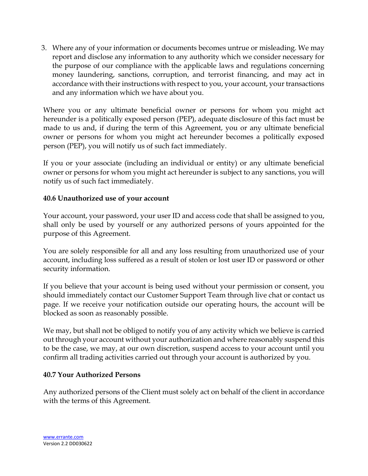3. Where any of your information or documents becomes untrue or misleading. We may report and disclose any information to any authority which we consider necessary for the purpose of our compliance with the applicable laws and regulations concerning money laundering, sanctions, corruption, and terrorist financing, and may act in accordance with their instructions with respect to you, your account, your transactions and any information which we have about you.

Where you or any ultimate beneficial owner or persons for whom you might act hereunder is a politically exposed person (PEP), adequate disclosure of this fact must be made to us and, if during the term of this Agreement, you or any ultimate beneficial owner or persons for whom you might act hereunder becomes a politically exposed person (PEP), you will notify us of such fact immediately.

If you or your associate (including an individual or entity) or any ultimate beneficial owner or persons for whom you might act hereunder is subject to any sanctions, you will notify us of such fact immediately.

#### **40.6 Unauthorized use of your account**

Your account, your password, your user ID and access code that shall be assigned to you, shall only be used by yourself or any authorized persons of yours appointed for the purpose of this Agreement.

You are solely responsible for all and any loss resulting from unauthorized use of your account, including loss suffered as a result of stolen or lost user ID or password or other security information.

If you believe that your account is being used without your permission or consent, you should immediately contact our Customer Support Team through live chat or contact us page. If we receive your notification outside our operating hours, the account will be blocked as soon as reasonably possible.

We may, but shall not be obliged to notify you of any activity which we believe is carried out through your account without your authorization and where reasonably suspend this to be the case, we may, at our own discretion, suspend access to your account until you confirm all trading activities carried out through your account is authorized by you.

#### **40.7 Your Authorized Persons**

Any authorized persons of the Client must solely act on behalf of the client in accordance with the terms of this Agreement.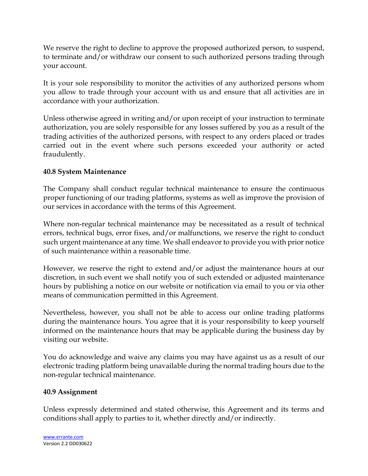We reserve the right to decline to approve the proposed authorized person, to suspend, to terminate and/or withdraw our consent to such authorized persons trading through your account.

It is your sole responsibility to monitor the activities of any authorized persons whom you allow to trade through your account with us and ensure that all activities are in accordance with your authorization.

Unless otherwise agreed in writing and/or upon receipt of your instruction to terminate authorization, you are solely responsible for any losses suffered by you as a result of the trading activities of the authorized persons, with respect to any orders placed or trades carried out in the event where such persons exceeded your authority or acted fraudulently.

#### **40.8 System Maintenance**

The Company shall conduct regular technical maintenance to ensure the continuous proper functioning of our trading platforms, systems as well as improve the provision of our services in accordance with the terms of this Agreement.

Where non-regular technical maintenance may be necessitated as a result of technical errors, technical bugs, error fixes, and/or malfunctions, we reserve the right to conduct such urgent maintenance at any time. We shall endeavor to provide you with prior notice of such maintenance within a reasonable time.

However, we reserve the right to extend and/or adjust the maintenance hours at our discretion, in such event we shall notify you of such extended or adjusted maintenance hours by publishing a notice on our website or notification via email to you or via other means of communication permitted in this Agreement.

Nevertheless, however, you shall not be able to access our online trading platforms during the maintenance hours. You agree that it is your responsibility to keep yourself informed on the maintenance hours that may be applicable during the business day by visiting our website.

You do acknowledge and waive any claims you may have against us as a result of our electronic trading platform being unavailable during the normal trading hours due to the non-regular technical maintenance.

#### **40.9 Assignment**

Unless expressly determined and stated otherwise, this Agreement and its terms and conditions shall apply to parties to it, whether directly and/or indirectly.